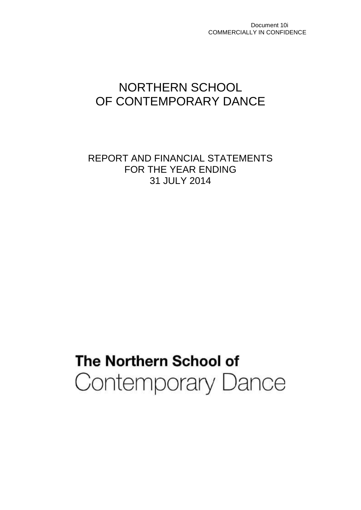Document 10i COMMERCIALLY IN CONFIDENCE

## NORTHERN SCHOOL OF CONTEMPORARY DANCE

REPORT AND FINANCIAL STATEMENTS FOR THE YEAR ENDING 31 JULY 2014

# The Northern School of Contemporary Dance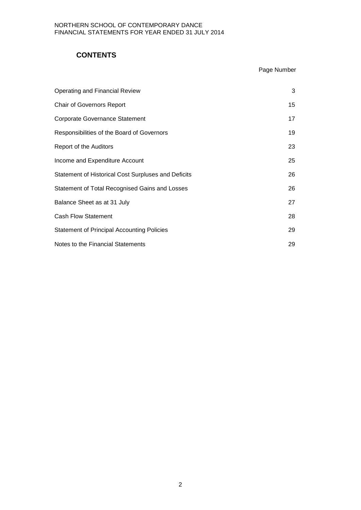## **CONTENTS**

## Page Number

| <b>Operating and Financial Review</b>                      | 3  |
|------------------------------------------------------------|----|
| <b>Chair of Governors Report</b>                           | 15 |
| <b>Corporate Governance Statement</b>                      | 17 |
| Responsibilities of the Board of Governors                 | 19 |
| Report of the Auditors                                     | 23 |
| Income and Expenditure Account                             | 25 |
| <b>Statement of Historical Cost Surpluses and Deficits</b> | 26 |
| Statement of Total Recognised Gains and Losses             | 26 |
| Balance Sheet as at 31 July                                | 27 |
| <b>Cash Flow Statement</b>                                 | 28 |
| <b>Statement of Principal Accounting Policies</b>          | 29 |
| Notes to the Financial Statements                          | 29 |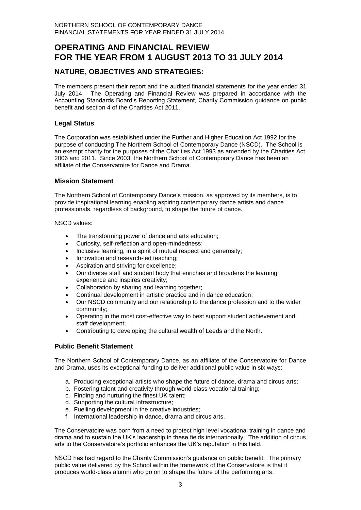## **OPERATING AND FINANCIAL REVIEW FOR THE YEAR FROM 1 AUGUST 2013 TO 31 JULY 2014**

## **NATURE, OBJECTIVES AND STRATEGIES:**

The members present their report and the audited financial statements for the year ended 31 July 2014. The Operating and Financial Review was prepared in accordance with the Accounting Standards Board's Reporting Statement, Charity Commission guidance on public benefit and section 4 of the Charities Act 2011.

#### **Legal Status**

The Corporation was established under the Further and Higher Education Act 1992 for the purpose of conducting The Northern School of Contemporary Dance (NSCD). The School is an exempt charity for the purposes of the Charities Act 1993 as amended by the Charities Act 2006 and 2011. Since 2003, the Northern School of Contemporary Dance has been an affiliate of the Conservatoire for Dance and Drama.

#### **Mission Statement**

The Northern School of Contemporary Dance's mission, as approved by its members, is to provide inspirational learning enabling aspiring contemporary dance artists and dance professionals, regardless of background, to shape the future of dance.

#### NSCD values:

- The transforming power of dance and arts education;
- Curiosity, self-reflection and open-mindedness;
- Inclusive learning, in a spirit of mutual respect and generosity;
- Innovation and research-led teaching;
- Aspiration and striving for excellence;
- Our diverse staff and student body that enriches and broadens the learning experience and inspires creativity;
- Collaboration by sharing and learning together;
- Continual development in artistic practice and in dance education;
- Our NSCD community and our relationship to the dance profession and to the wider community;
- Operating in the most cost-effective way to best support student achievement and staff development;
- Contributing to developing the cultural wealth of Leeds and the North.

#### **Public Benefit Statement**

The Northern School of Contemporary Dance, as an affiliate of the Conservatoire for Dance and Drama, uses its exceptional funding to deliver additional public value in six ways:

- a. Producing exceptional artists who shape the future of dance, drama and circus arts;
- b. Fostering talent and creativity through world-class vocational training;
- c. Finding and nurturing the finest UK talent;
- d. Supporting the cultural infrastructure;
- e. Fuelling development in the creative industries;
- f. International leadership in dance, drama and circus arts.

The Conservatoire was born from a need to protect high level vocational training in dance and drama and to sustain the UK's leadership in these fields internationally. The addition of circus arts to the Conservatoire's portfolio enhances the UK's reputation in this field.

NSCD has had regard to the Charity Commission's guidance on public benefit. The primary public value delivered by the School within the framework of the Conservatoire is that it produces world-class alumni who go on to shape the future of the performing arts.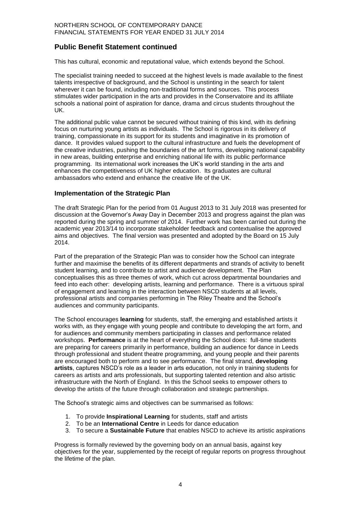## **Public Benefit Statement continued**

This has cultural, economic and reputational value, which extends beyond the School.

The specialist training needed to succeed at the highest levels is made available to the finest talents irrespective of background, and the School is unstinting in the search for talent wherever it can be found, including non-traditional forms and sources. This process stimulates wider participation in the arts and provides in the Conservatoire and its affiliate schools a national point of aspiration for dance, drama and circus students throughout the UK.

The additional public value cannot be secured without training of this kind, with its defining focus on nurturing young artists as individuals. The School is rigorous in its delivery of training, compassionate in its support for its students and imaginative in its promotion of dance. It provides valued support to the cultural infrastructure and fuels the development of the creative industries, pushing the boundaries of the art forms, developing national capability in new areas, building enterprise and enriching national life with its public performance programming. Its international work increases the UK's world standing in the arts and enhances the competitiveness of UK higher education. Its graduates are cultural ambassadors who extend and enhance the creative life of the UK.

#### **Implementation of the Strategic Plan**

The draft Strategic Plan for the period from 01 August 2013 to 31 July 2018 was presented for discussion at the Governor's Away Day in December 2013 and progress against the plan was reported during the spring and summer of 2014. Further work has been carried out during the academic year 2013/14 to incorporate stakeholder feedback and contextualise the approved aims and objectives. The final version was presented and adopted by the Board on 15 July 2014.

Part of the preparation of the Strategic Plan was to consider how the School can integrate further and maximise the benefits of its different departments and strands of activity to benefit student learning, and to contribute to artist and audience development. The Plan conceptualises this as three themes of work, which cut across departmental boundaries and feed into each other: developing artists, learning and performance. There is a virtuous spiral of engagement and learning in the interaction between NSCD students at all levels, professional artists and companies performing in The Riley Theatre and the School's audiences and community participants.

The School encourages **learning** for students, staff, the emerging and established artists it works with, as they engage with young people and contribute to developing the art form, and for audiences and community members participating in classes and performance related workshops. **Performance** is at the heart of everything the School does: full-time students are preparing for careers primarily in performance, building an audience for dance in Leeds through professional and student theatre programming, and young people and their parents are encouraged both to perform and to see performance. The final strand, **developing artists**, captures NSCD's role as a leader in arts education, not only in training students for careers as artists and arts professionals, but supporting talented retention and also artistic infrastructure with the North of England. In this the School seeks to empower others to develop the artists of the future through collaboration and strategic partnerships.

The School's strategic aims and objectives can be summarised as follows:

- 1. To provide **Inspirational Learning** for students, staff and artists
- 2. To be an **International Centre** in Leeds for dance education
- 3. To secure a **Sustainable Future** that enables NSCD to achieve its artistic aspirations

Progress is formally reviewed by the governing body on an annual basis, against key objectives for the year, supplemented by the receipt of regular reports on progress throughout the lifetime of the plan.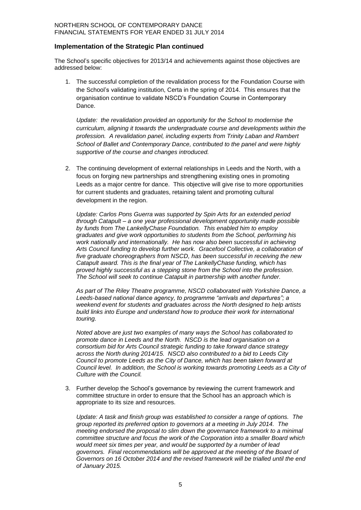#### **Implementation of the Strategic Plan continued**

The School's specific objectives for 2013/14 and achievements against those objectives are addressed below:

1. The successful completion of the revalidation process for the Foundation Course with the School's validating institution, Certa in the spring of 2014. This ensures that the organisation continue to validate NSCD's Foundation Course in Contemporary Dance.

*Update: the revalidation provided an opportunity for the School to modernise the curriculum, aligning it towards the undergraduate course and developments within the profession. A revalidation panel, including experts from Trinity Laban and Rambert School of Ballet and Contemporary Dance, contributed to the panel and were highly supportive of the course and changes introduced.*

2. The continuing development of external relationships in Leeds and the North, with a focus on forging new partnerships and strengthening existing ones in promoting Leeds as a major centre for dance. This objective will give rise to more opportunities for current students and graduates, retaining talent and promoting cultural development in the region.

*Update: Carlos Pons Guerra was supported by Spin Arts for an extended period through Catapult – a one year professional development opportunity made possible by funds from The LankellyChase Foundation. This enabled him to employ graduates and give work opportunities to students from the School, performing his work nationally and internationally. He has now also been successful in achieving Arts Council funding to develop further work. Gracefool Collective, a collaboration of five graduate choreographers from NSCD, has been successful in receiving the new Catapult award. This is the final year of The LankellyChase funding, which has proved highly successful as a stepping stone from the School into the profession. The School will seek to continue Catapult in partnership with another funder.*

*As part of The Riley Theatre programme, NSCD collaborated with Yorkshire Dance, a Leeds-based national dance agency, to programme "arrivals and departures"; a weekend event for students and graduates across the North designed to help artists build links into Europe and understand how to produce their work for international touring.* 

*Noted above are just two examples of many ways the School has collaborated to promote dance in Leeds and the North. NSCD is the lead organisation on a consortium bid for Arts Council strategic funding to take forward dance strategy across the North during 2014/15. NSCD also contributed to a bid to Leeds City Council to promote Leeds as the City of Dance, which has been taken forward at Council level. In addition, the School is working towards promoting Leeds as a City of Culture with the Council.*

3. Further develop the School's governance by reviewing the current framework and committee structure in order to ensure that the School has an approach which is appropriate to its size and resources.

*Update: A task and finish group was established to consider a range of options. The group reported its preferred option to governors at a meeting in July 2014. The meeting endorsed the proposal to slim down the governance framework to a minimal committee structure and focus the work of the Corporation into a smaller Board which would meet six times per year, and would be supported by a number of lead governors. Final recommendations will be approved at the meeting of the Board of Governors on 16 October 2014 and the revised framework will be trialled until the end of January 2015.*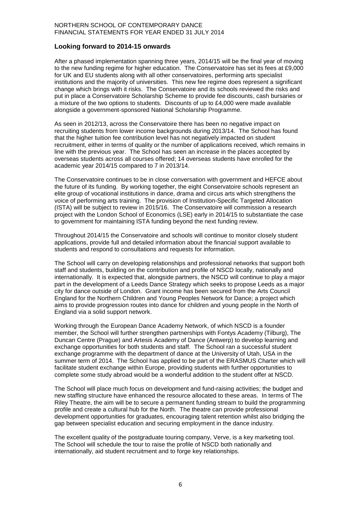#### **Looking forward to 2014-15 onwards**

After a phased implementation spanning three years, 2014/15 will be the final year of moving to the new funding regime for higher education. The Conservatoire has set its fees at £9,000 for UK and EU students along with all other conservatoires, performing arts specialist institutions and the majority of universities. This new fee regime does represent a significant change which brings with it risks. The Conservatoire and its schools reviewed the risks and put in place a Conservatoire Scholarship Scheme to provide fee discounts, cash bursaries or a mixture of the two options to students. Discounts of up to £4,000 were made available alongside a government-sponsored National Scholarship Programme.

As seen in 2012/13, across the Conservatoire there has been no negative impact on recruiting students from lower income backgrounds during 2013/14. The School has found that the higher tuition fee contribution level has not negatively impacted on student recruitment, either in terms of quality or the number of applications received, which remains in line with the previous year. The School has seen an increase in the places accepted by overseas students across all courses offered; 14 overseas students have enrolled for the academic year 2014/15 compared to 7 in 2013/14.

The Conservatoire continues to be in close conversation with government and HEFCE about the future of its funding. By working together, the eight Conservatoire schools represent an elite group of vocational institutions in dance, drama and circus arts which strengthens the voice of performing arts training. The provision of Institution-Specific Targeted Allocation (ISTA) will be subject to review in 2015/16. The Conservatoire will commission a research project with the London School of Economics (LSE) early in 2014/15 to substantiate the case to government for maintaining ISTA funding beyond the next funding review.

Throughout 2014/15 the Conservatoire and schools will continue to monitor closely student applications, provide full and detailed information about the financial support available to students and respond to consultations and requests for information.

The School will carry on developing relationships and professional networks that support both staff and students, building on the contribution and profile of NSCD locally, nationally and internationally. It is expected that, alongside partners, the NSCD will continue to play a major part in the development of a Leeds Dance Strategy which seeks to propose Leeds as a major city for dance outside of London. Grant income has been secured from the Arts Council England for the Northern Children and Young Peoples Network for Dance; a project which aims to provide progression routes into dance for children and young people in the North of England via a solid support network.

Working through the European Dance Academy Network, of which NSCD is a founder member, the School will further strengthen partnerships with Fontys Academy (Tilburg), The Duncan Centre (Prague) and Artesis Academy of Dance (Antwerp) to develop learning and exchange opportunities for both students and staff. The School ran a successful student exchange programme with the department of dance at the University of Utah, USA in the summer term of 2014. The School has applied to be part of the ERASMUS Charter which will facilitate student exchange within Europe, providing students with further opportunities to complete some study abroad would be a wonderful addition to the student offer at NSCD.

The School will place much focus on development and fund-raising activities; the budget and new staffing structure have enhanced the resource allocated to these areas. In terms of The Riley Theatre, the aim will be to secure a permanent funding stream to build the programming profile and create a cultural hub for the North. The theatre can provide professional development opportunities for graduates, encouraging talent retention whilst also bridging the gap between specialist education and securing employment in the dance industry.

The excellent quality of the postgraduate touring company, Verve, is a key marketing tool. The School will schedule the tour to raise the profile of NSCD both nationally and internationally, aid student recruitment and to forge key relationships.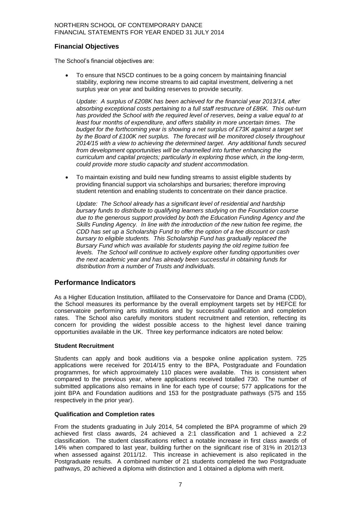#### **Financial Objectives**

The School's financial objectives are:

 To ensure that NSCD continues to be a going concern by maintaining financial stability, exploring new income streams to aid capital investment, delivering a net surplus year on year and building reserves to provide security.

*Update: A surplus of £208K has been achieved for the financial year 2013/14, after absorbing exceptional costs pertaining to a full staff restructure of £86K. This out-turn has provided the School with the required level of reserves, being a value equal to at least four months of expenditure, and offers stability in more uncertain times. The budget for the forthcoming year is showing a net surplus of £73K against a target set by the Board of £100K net surplus. The forecast will be monitored closely throughout 2014/15 with a view to achieving the determined target. Any additional funds secured from development opportunities will be channelled into further enhancing the curriculum and capital projects; particularly in exploring those which, in the long-term, could provide more studio capacity and student accommodation.* 

 To maintain existing and build new funding streams to assist eligible students by providing financial support via scholarships and bursaries; therefore improving student retention and enabling students to concentrate on their dance practice.

*Update: The School already has a significant level of residential and hardship bursary funds to distribute to qualifying learners studying on the Foundation course due to the generous support provided by both the Education Funding Agency and the Skills Funding Agency. In line with the introduction of the new tuition fee regime, the CDD has set up a Scholarship Fund to offer the option of a fee discount or cash bursary to eligible students. This Scholarship Fund has gradually replaced the Bursary Fund which was available for students paying the old regime tuition fee levels. The School will continue to actively explore other funding opportunities over the next academic year and has already been successful in obtaining funds for distribution from a number of Trusts and individuals.*

#### **Performance Indicators**

As a Higher Education Institution, affiliated to the Conservatoire for Dance and Drama (CDD), the School measures its performance by the overall employment targets set by HEFCE for conservatoire performing arts institutions and by successful qualification and completion rates. The School also carefully monitors student recruitment and retention, reflecting its concern for providing the widest possible access to the highest level dance training opportunities available in the UK. Three key performance indicators are noted below:

#### **Student Recruitment**

Students can apply and book auditions via a bespoke online application system. 725 applications were received for 2014/15 entry to the BPA, Postgraduate and Foundation programmes, for which approximately 110 places were available. This is consistent when compared to the previous year, where applications received totalled 730. The number of submitted applications also remains in line for each type of course; 577 applications for the joint BPA and Foundation auditions and 153 for the postgraduate pathways (575 and 155 respectively in the prior year).

#### **Qualification and Completion rates**

From the students graduating in July 2014, 54 completed the BPA programme of which 29 achieved first class awards, 24 achieved a 2:1 classification and 1 achieved a 2:2 classification. The student classifications reflect a notable increase in first class awards of 14% when compared to last year, building further on the significant rise of 31% in 2012/13 when assessed against 2011/12. This increase in achievement is also replicated in the Postgraduate results. A combined number of 21 students completed the two Postgraduate pathways, 20 achieved a diploma with distinction and 1 obtained a diploma with merit.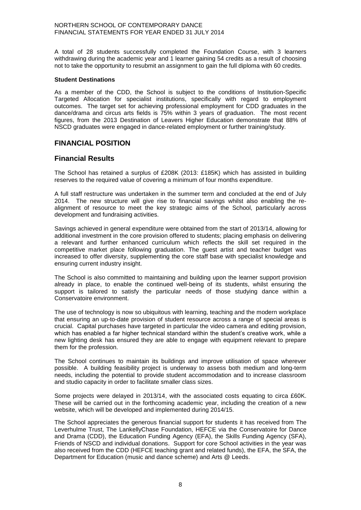A total of 28 students successfully completed the Foundation Course, with 3 learners withdrawing during the academic year and 1 learner gaining 54 credits as a result of choosing not to take the opportunity to resubmit an assignment to gain the full diploma with 60 credits.

#### **Student Destinations**

As a member of the CDD, the School is subject to the conditions of Institution-Specific Targeted Allocation for specialist institutions, specifically with regard to employment outcomes. The target set for achieving professional employment for CDD graduates in the dance/drama and circus arts fields is 75% within 3 years of graduation. The most recent figures, from the 2013 Destination of Leavers Higher Education demonstrate that 88% of NSCD graduates were engaged in dance-related employment or further training/study.

## **FINANCIAL POSITION**

#### **Financial Results**

The School has retained a surplus of £208K (2013: £185K) which has assisted in building reserves to the required value of covering a minimum of four months expenditure.

A full staff restructure was undertaken in the summer term and concluded at the end of July 2014. The new structure will give rise to financial savings whilst also enabling the realignment of resource to meet the key strategic aims of the School, particularly across development and fundraising activities.

Savings achieved in general expenditure were obtained from the start of 2013/14, allowing for additional investment in the core provision offered to students; placing emphasis on delivering a relevant and further enhanced curriculum which reflects the skill set required in the competitive market place following graduation. The guest artist and teacher budget was increased to offer diversity, supplementing the core staff base with specialist knowledge and ensuring current industry insight.

The School is also committed to maintaining and building upon the learner support provision already in place, to enable the continued well-being of its students, whilst ensuring the support is tailored to satisfy the particular needs of those studying dance within a Conservatoire environment.

The use of technology is now so ubiquitous with learning, teaching and the modern workplace that ensuring an up-to-date provision of student resource across a range of special areas is crucial. Capital purchases have targeted in particular the video camera and editing provision, which has enabled a far higher technical standard within the student's creative work, while a new lighting desk has ensured they are able to engage with equipment relevant to prepare them for the profession.

The School continues to maintain its buildings and improve utilisation of space wherever possible. A building feasibility project is underway to assess both medium and long-term needs, including the potential to provide student accommodation and to increase classroom and studio capacity in order to facilitate smaller class sizes.

Some projects were delayed in 2013/14, with the associated costs equating to circa £60K. These will be carried out in the forthcoming academic year, including the creation of a new website, which will be developed and implemented during 2014/15.

The School appreciates the generous financial support for students it has received from The Leverhulme Trust, The LankellyChase Foundation, HEFCE via the Conservatoire for Dance and Drama (CDD), the Education Funding Agency (EFA), the Skills Funding Agency (SFA), Friends of NSCD and individual donations. Support for core School activities in the year was also received from the CDD (HEFCE teaching grant and related funds), the EFA, the SFA, the Department for Education (music and dance scheme) and Arts @ Leeds.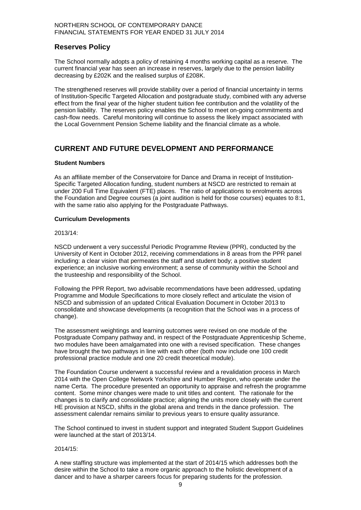## **Reserves Policy**

The School normally adopts a policy of retaining 4 months working capital as a reserve. The current financial year has seen an increase in reserves, largely due to the pension liability decreasing by £202K and the realised surplus of £208K.

The strengthened reserves will provide stability over a period of financial uncertainty in terms of Institution-Specific Targeted Allocation and postgraduate study, combined with any adverse effect from the final year of the higher student tuition fee contribution and the volatility of the pension liability. The reserves policy enables the School to meet on-going commitments and cash-flow needs. Careful monitoring will continue to assess the likely impact associated with the Local Government Pension Scheme liability and the financial climate as a whole.

## **CURRENT AND FUTURE DEVELOPMENT AND PERFORMANCE**

#### **Student Numbers**

As an affiliate member of the Conservatoire for Dance and Drama in receipt of Institution-Specific Targeted Allocation funding, student numbers at NSCD are restricted to remain at under 200 Full Time Equivalent (FTE) places. The ratio of applications to enrolments across the Foundation and Degree courses (a joint audition is held for those courses) equates to 8:1, with the same ratio also applying for the Postgraduate Pathways.

#### **Curriculum Developments**

2013/14:

NSCD underwent a very successful Periodic Programme Review (PPR), conducted by the University of Kent in October 2012, receiving commendations in 8 areas from the PPR panel including: a clear vision that permeates the staff and student body; a positive student experience; an inclusive working environment; a sense of community within the School and the trusteeship and responsibility of the School.

Following the PPR Report, two advisable recommendations have been addressed, updating Programme and Module Specifications to more closely reflect and articulate the vision of NSCD and submission of an updated Critical Evaluation Document in October 2013 to consolidate and showcase developments (a recognition that the School was in a process of change).

The assessment weightings and learning outcomes were revised on one module of the Postgraduate Company pathway and, in respect of the Postgraduate Apprenticeship Scheme, two modules have been amalgamated into one with a revised specification. These changes have brought the two pathways in line with each other (both now include one 100 credit professional practice module and one 20 credit theoretical module).

The Foundation Course underwent a successful review and a revalidation process in March 2014 with the Open College Network Yorkshire and Humber Region, who operate under the name Certa. The procedure presented an opportunity to appraise and refresh the programme content. Some minor changes were made to unit titles and content. The rationale for the changes is to clarify and consolidate practice; aligning the units more closely with the current HE provision at NSCD, shifts in the global arena and trends in the dance profession. The assessment calendar remains similar to previous years to ensure quality assurance.

The School continued to invest in student support and integrated Student Support Guidelines were launched at the start of 2013/14.

#### 2014/15:

A new staffing structure was implemented at the start of 2014/15 which addresses both the desire within the School to take a more organic approach to the holistic development of a dancer and to have a sharper careers focus for preparing students for the profession.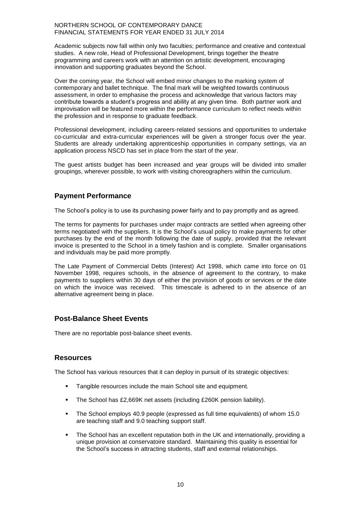Academic subjects now fall within only two faculties; performance and creative and contextual studies. A new role, Head of Professional Development, brings together the theatre programming and careers work with an attention on artistic development, encouraging innovation and supporting graduates beyond the School.

Over the coming year, the School will embed minor changes to the marking system of contemporary and ballet technique. The final mark will be weighted towards continuous assessment, in order to emphasise the process and acknowledge that various factors may contribute towards a student's progress and ability at any given time. Both partner work and improvisation will be featured more within the performance curriculum to reflect needs within the profession and in response to graduate feedback.

Professional development, including careers-related sessions and opportunities to undertake co-curricular and extra-curricular experiences will be given a stronger focus over the year. Students are already undertaking apprenticeship opportunities in company settings, via an application process NSCD has set in place from the start of the year.

The guest artists budget has been increased and year groups will be divided into smaller groupings, wherever possible, to work with visiting choreographers within the curriculum.

## **Payment Performance**

The School's policy is to use its purchasing power fairly and to pay promptly and as agreed.

The terms for payments for purchases under major contracts are settled when agreeing other terms negotiated with the suppliers. It is the School's usual policy to make payments for other purchases by the end of the month following the date of supply, provided that the relevant invoice is presented to the School in a timely fashion and is complete. Smaller organisations and individuals may be paid more promptly.

The Late Payment of Commercial Debts (Interest) Act 1998, which came into force on 01 November 1998, requires schools, in the absence of agreement to the contrary, to make payments to suppliers within 30 days of either the provision of goods or services or the date on which the invoice was received. This timescale is adhered to in the absence of an alternative agreement being in place.

## **Post-Balance Sheet Events**

There are no reportable post-balance sheet events.

#### **Resources**

The School has various resources that it can deploy in pursuit of its strategic objectives:

- Tangible resources include the main School site and equipment.
- The School has £2,669K net assets (including £260K pension liability).
- The School employs 40.9 people (expressed as full time equivalents) of whom 15.0 are teaching staff and 9.0 teaching support staff.
- The School has an excellent reputation both in the UK and internationally, providing a unique provision at conservatoire standard. Maintaining this quality is essential for the School's success in attracting students, staff and external relationships.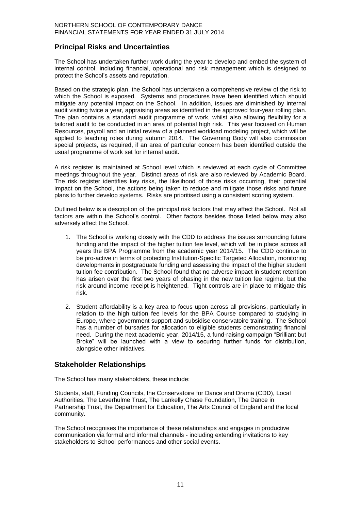## **Principal Risks and Uncertainties**

The School has undertaken further work during the year to develop and embed the system of internal control, including financial, operational and risk management which is designed to protect the School's assets and reputation.

Based on the strategic plan, the School has undertaken a comprehensive review of the risk to which the School is exposed. Systems and procedures have been identified which should mitigate any potential impact on the School. In addition, issues are diminished by internal audit visiting twice a year, appraising areas as identified in the approved four-year rolling plan. The plan contains a standard audit programme of work, whilst also allowing flexibility for a tailored audit to be conducted in an area of potential high risk. This year focused on Human Resources, payroll and an initial review of a planned workload modeling project, which will be applied to teaching roles during autumn 2014. The Governing Body will also commission special projects, as required, if an area of particular concern has been identified outside the usual programme of work set for internal audit.

A risk register is maintained at School level which is reviewed at each cycle of Committee meetings throughout the year. Distinct areas of risk are also reviewed by Academic Board. The risk register identifies key risks, the likelihood of those risks occurring, their potential impact on the School, the actions being taken to reduce and mitigate those risks and future plans to further develop systems. Risks are prioritised using a consistent scoring system.

Outlined below is a description of the principal risk factors that may affect the School. Not all factors are within the School's control. Other factors besides those listed below may also adversely affect the School.

- 1. The School is working closely with the CDD to address the issues surrounding future funding and the impact of the higher tuition fee level, which will be in place across all years the BPA Programme from the academic year 2014/15. The CDD continue to be pro-active in terms of protecting Institution-Specific Targeted Allocation, monitoring developments in postgraduate funding and assessing the impact of the higher student tuition fee contribution. The School found that no adverse impact in student retention has arisen over the first two years of phasing in the new tuition fee regime, but the risk around income receipt is heightened. Tight controls are in place to mitigate this risk.
- 2. Student affordability is a key area to focus upon across all provisions, particularly in relation to the high tuition fee levels for the BPA Course compared to studying in Europe, where government support and subsidise conservatoire training. The School has a number of bursaries for allocation to eligible students demonstrating financial need. During the next academic year, 2014/15, a fund-raising campaign "Brilliant but Broke" will be launched with a view to securing further funds for distribution, alongside other initiatives.

#### **Stakeholder Relationships**

The School has many stakeholders, these include:

Students, staff, Funding Councils, the Conservatoire for Dance and Drama (CDD), Local Authorities, The Leverhulme Trust, The Lankelly Chase Foundation, The Dance in Partnership Trust, the Department for Education, The Arts Council of England and the local community.

The School recognises the importance of these relationships and engages in productive communication via formal and informal channels - including extending invitations to key stakeholders to School performances and other social events.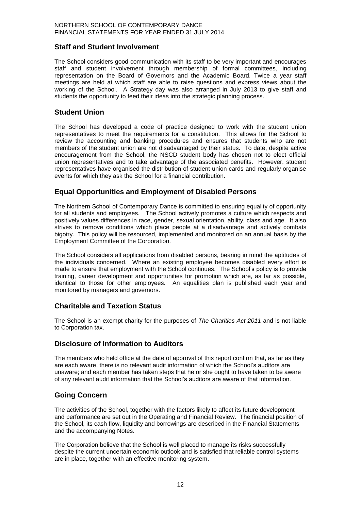## **Staff and Student Involvement**

The School considers good communication with its staff to be very important and encourages staff and student involvement through membership of formal committees, including representation on the Board of Governors and the Academic Board. Twice a year staff meetings are held at which staff are able to raise questions and express views about the working of the School. A Strategy day was also arranged in July 2013 to give staff and students the opportunity to feed their ideas into the strategic planning process.

## **Student Union**

The School has developed a code of practice designed to work with the student union representatives to meet the requirements for a constitution. This allows for the School to review the accounting and banking procedures and ensures that students who are not members of the student union are not disadvantaged by their status. To date, despite active encouragement from the School, the NSCD student body has chosen not to elect official union representatives and to take advantage of the associated benefits. However, student representatives have organised the distribution of student union cards and regularly organise events for which they ask the School for a financial contribution.

## **Equal Opportunities and Employment of Disabled Persons**

The Northern School of Contemporary Dance is committed to ensuring equality of opportunity for all students and employees. The School actively promotes a culture which respects and positively values differences in race, gender, sexual orientation, ability, class and age. It also strives to remove conditions which place people at a disadvantage and actively combats bigotry. This policy will be resourced, implemented and monitored on an annual basis by the Employment Committee of the Corporation.

The School considers all applications from disabled persons, bearing in mind the aptitudes of the individuals concerned. Where an existing employee becomes disabled every effort is made to ensure that employment with the School continues. The School's policy is to provide training, career development and opportunities for promotion which are, as far as possible, identical to those for other employees. An equalities plan is published each year and monitored by managers and governors.

## **Charitable and Taxation Status**

The School is an exempt charity for the purposes of *The Charities Act 2011* and is not liable to Corporation tax.

#### **Disclosure of Information to Auditors**

The members who held office at the date of approval of this report confirm that, as far as they are each aware, there is no relevant audit information of which the School's auditors are unaware; and each member has taken steps that he or she ought to have taken to be aware of any relevant audit information that the School's auditors are aware of that information.

## **Going Concern**

The activities of the School, together with the factors likely to affect its future development and performance are set out in the Operating and Financial Review. The financial position of the School, its cash flow, liquidity and borrowings are described in the Financial Statements and the accompanying Notes.

The Corporation believe that the School is well placed to manage its risks successfully despite the current uncertain economic outlook and is satisfied that reliable control systems are in place, together with an effective monitoring system.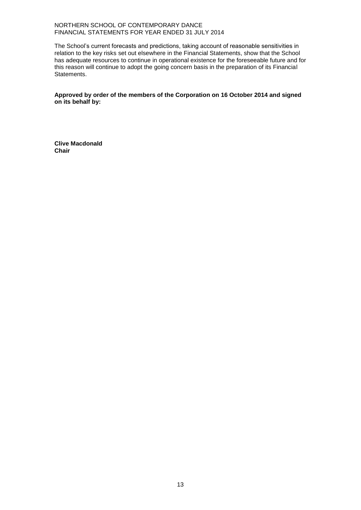The School's current forecasts and predictions, taking account of reasonable sensitivities in relation to the key risks set out elsewhere in the Financial Statements, show that the School has adequate resources to continue in operational existence for the foreseeable future and for this reason will continue to adopt the going concern basis in the preparation of its Financial Statements.

**Approved by order of the members of the Corporation on 16 October 2014 and signed on its behalf by:**

**Clive Macdonald Chair**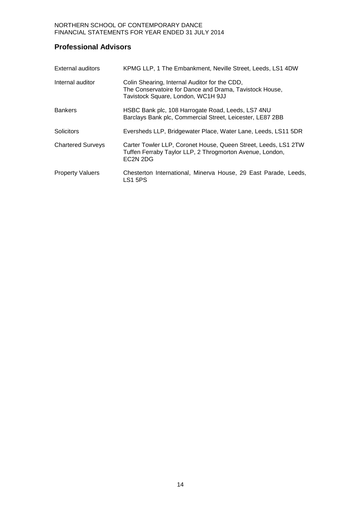## **Professional Advisors**

| <b>External auditors</b> | KPMG LLP, 1 The Embankment, Neville Street, Leeds, LS1 4DW                                                                                                     |
|--------------------------|----------------------------------------------------------------------------------------------------------------------------------------------------------------|
| Internal auditor         | Colin Shearing, Internal Auditor for the CDD,<br>The Conservatoire for Dance and Drama, Tavistock House,<br>Tavistock Square, London, WC1H 9JJ                 |
| <b>Bankers</b>           | HSBC Bank plc, 108 Harrogate Road, Leeds, LS7 4NU<br>Barclays Bank plc, Commercial Street, Leicester, LE87 2BB                                                 |
| Solicitors               | Eversheds LLP, Bridgewater Place, Water Lane, Leeds, LS11 5DR                                                                                                  |
| <b>Chartered Surveys</b> | Carter Towler LLP, Coronet House, Queen Street, Leeds, LS1 2TW<br>Tuffen Ferraby Taylor LLP, 2 Throgmorton Avenue, London,<br>EC <sub>2</sub> N <sub>2DG</sub> |
| <b>Property Valuers</b>  | Chesterton International, Minerva House, 29 East Parade, Leeds,<br>LS1 5PS                                                                                     |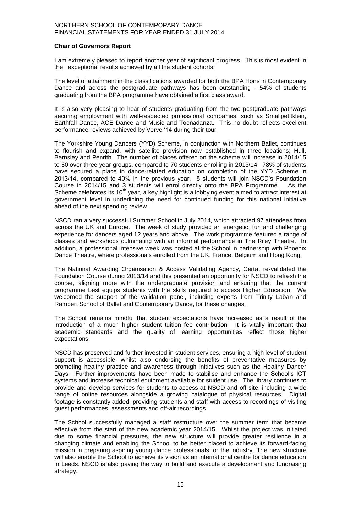#### **Chair of Governors Report**

I am extremely pleased to report another year of significant progress. This is most evident in the exceptional results achieved by all the student cohorts.

The level of attainment in the classifications awarded for both the BPA Hons in Contemporary Dance and across the postgraduate pathways has been outstanding - 54% of students graduating from the BPA programme have obtained a first class award.

It is also very pleasing to hear of students graduating from the two postgraduate pathways securing employment with well-respected professional companies, such as Smallpetitklein, Earthfall Dance, ACE Dance and Music and Tocnadanza. This no doubt reflects excellent performance reviews achieved by Verve '14 during their tour.

The Yorkshire Young Dancers (YYD) Scheme, in conjunction with Northern Ballet, continues to flourish and expand, with satellite provision now established in three locations; Hull, Barnsley and Penrith. The number of places offered on the scheme will increase in 2014/15 to 80 over three year groups, compared to 70 students enrolling in 2013/14. 78% of students have secured a place in dance-related education on completion of the YYD Scheme in 2013/14, compared to 40% in the previous year. 5 students will join NSCD's Foundation Course in 2014/15 and 3 students will enrol directly onto the BPA Programme. As the Scheme celebrates its 10<sup>th</sup> year, a key highlight is a lobbying event aimed to attract interest at government level in underlining the need for continued funding for this national initiative ahead of the next spending review.

NSCD ran a very successful Summer School in July 2014, which attracted 97 attendees from across the UK and Europe. The week of study provided an energetic, fun and challenging experience for dancers aged 12 years and above. The work programme featured a range of classes and workshops culminating with an informal performance in The Riley Theatre. In addition, a professional intensive week was hosted at the School in partnership with Phoenix Dance Theatre, where professionals enrolled from the UK, France, Belgium and Hong Kong.

The National Awarding Organisation & Access Validating Agency, Certa, re-validated the Foundation Course during 2013/14 and this presented an opportunity for NSCD to refresh the course, aligning more with the undergraduate provision and ensuring that the current programme best equips students with the skills required to access Higher Education. We welcomed the support of the validation panel, including experts from Trinity Laban and Rambert School of Ballet and Contemporary Dance, for these changes.

The School remains mindful that student expectations have increased as a result of the introduction of a much higher student tuition fee contribution. It is vitally important that academic standards and the quality of learning opportunities reflect those higher expectations.

NSCD has preserved and further invested in student services, ensuring a high level of student support is accessible, whilst also endorsing the benefits of preventative measures by promoting healthy practice and awareness through initiatives such as the Healthy Dancer Days. Further improvements have been made to stabilise and enhance the School's ICT systems and increase technical equipment available for student use. The library continues to provide and develop services for students to access at NSCD and off-site, including a wide range of online resources alongside a growing catalogue of physical resources. Digital footage is constantly added, providing students and staff with access to recordings of visiting guest performances, assessments and off-air recordings.

The School successfully managed a staff restructure over the summer term that became effective from the start of the new academic year 2014/15. Whilst the project was initiated due to some financial pressures, the new structure will provide greater resilience in a changing climate and enabling the School to be better placed to achieve its forward-facing mission in preparing aspiring young dance professionals for the industry. The new structure will also enable the School to achieve its vision as an international centre for dance education in Leeds. NSCD is also paving the way to build and execute a development and fundraising strategy.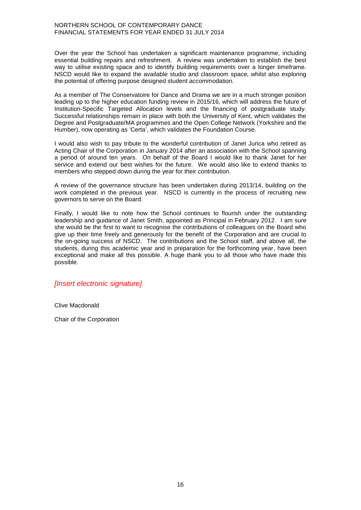Over the year the School has undertaken a significant maintenance programme, including essential building repairs and refreshment. A review was undertaken to establish the best way to utilise existing space and to identify building requirements over a longer timeframe. NSCD would like to expand the available studio and classroom space, whilst also exploring the potential of offering purpose designed student accommodation.

As a member of The Conservatoire for Dance and Drama we are in a much stronger position leading up to the higher education funding review in 2015/16, which will address the future of Institution-Specific Targeted Allocation levels and the financing of postgraduate study. Successful relationships remain in place with both the University of Kent, which validates the Degree and Postgraduate/MA programmes and the Open College Network (Yorkshire and the Humber), now operating as 'Certa', which validates the Foundation Course.

I would also wish to pay tribute to the wonderful contribution of Janet Jurica who retired as Acting Chair of the Corporation in January 2014 after an association with the School spanning a period of around ten years. On behalf of the Board I would like to thank Janet for her service and extend our best wishes for the future. We would also like to extend thanks to members who stepped down during the year for their contribution.

A review of the governance structure has been undertaken during 2013/14, building on the work completed in the previous year. NSCD is currently in the process of recruiting new governors to serve on the Board.

Finally, I would like to note how the School continues to flourish under the outstanding leadership and guidance of Janet Smith, appointed as Principal in February 2012. I am sure she would be the first to want to recognise the contributions of colleagues on the Board who give up their time freely and generously for the benefit of the Corporation and are crucial to the on-going success of NSCD. The contributions and the School staff, and above all, the students, during this academic year and in preparation for the forthcoming year, have been exceptional and make all this possible. A huge thank you to all those who have made this possible.

#### *[Insert electronic signature]*

Clive Macdonald

Chair of the Corporation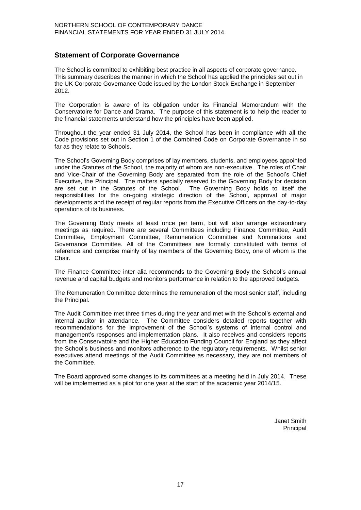## **Statement of Corporate Governance**

The School is committed to exhibiting best practice in all aspects of corporate governance. This summary describes the manner in which the School has applied the principles set out in the UK Corporate Governance Code issued by the London Stock Exchange in September 2012.

The Corporation is aware of its obligation under its Financial Memorandum with the Conservatoire for Dance and Drama. The purpose of this statement is to help the reader to the financial statements understand how the principles have been applied.

Throughout the year ended 31 July 2014, the School has been in compliance with all the Code provisions set out in Section 1 of the Combined Code on Corporate Governance in so far as they relate to Schools.

The School's Governing Body comprises of lay members, students, and employees appointed under the Statutes of the School, the majority of whom are non-executive. The roles of Chair and Vice-Chair of the Governing Body are separated from the role of the School's Chief Executive, the Principal. The matters specially reserved to the Governing Body for decision are set out in the Statutes of the School. The Governing Body holds to itself the responsibilities for the on-going strategic direction of the School, approval of major developments and the receipt of regular reports from the Executive Officers on the day-to-day operations of its business.

The Governing Body meets at least once per term, but will also arrange extraordinary meetings as required. There are several Committees including Finance Committee, Audit Committee, Employment Committee, Remuneration Committee and Nominations and Governance Committee. All of the Committees are formally constituted with terms of reference and comprise mainly of lay members of the Governing Body, one of whom is the Chair.

The Finance Committee inter alia recommends to the Governing Body the School's annual revenue and capital budgets and monitors performance in relation to the approved budgets.

The Remuneration Committee determines the remuneration of the most senior staff, including the Principal.

The Audit Committee met three times during the year and met with the School's external and internal auditor in attendance. The Committee considers detailed reports together with recommendations for the improvement of the School's systems of internal control and management's responses and implementation plans. It also receives and considers reports from the Conservatoire and the Higher Education Funding Council for England as they affect the School's business and monitors adherence to the regulatory requirements. Whilst senior executives attend meetings of the Audit Committee as necessary, they are not members of the Committee.

The Board approved some changes to its committees at a meeting held in July 2014. These will be implemented as a pilot for one year at the start of the academic year 2014/15.

> Janet Smith **Principal**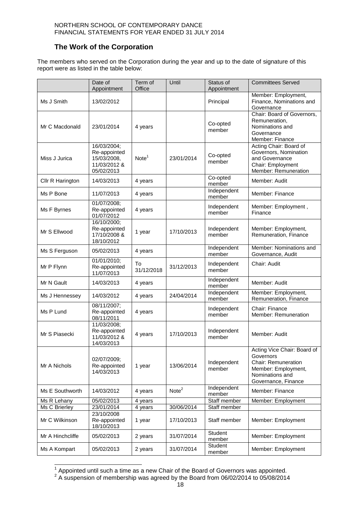## **The Work of the Corporation**

The members who served on the Corporation during the year and up to the date of signature of this report were as listed in the table below:

|                  | Date of<br>Appointment                                                   | Term of<br>Office | Until             | Status of<br>Appointment | <b>Committees Served</b>                                                                                                         |
|------------------|--------------------------------------------------------------------------|-------------------|-------------------|--------------------------|----------------------------------------------------------------------------------------------------------------------------------|
| Ms J Smith       | 13/02/2012                                                               |                   |                   | Principal                | Member: Employment,<br>Finance, Nominations and<br>Governance                                                                    |
| Mr C Macdonald   | 23/01/2014                                                               | 4 years           |                   | Co-opted<br>member       | Chair: Board of Governors,<br>Remuneration,<br>Nominations and<br>Governance<br>Member: Finance                                  |
| Miss J Jurica    | 16/03/2004;<br>Re-appointed<br>15/03/2008,<br>11/03/2012 &<br>05/02/2013 | Note <sup>1</sup> | 23/01/2014        | Co-opted<br>member       | Acting Chair: Board of<br>Governors, Nomination<br>and Governance<br>Chair: Employment<br>Member: Remuneration                   |
| Cllr R Harington | 14/03/2013                                                               | 4 years           |                   | Co-opted<br>member       | Member: Audit                                                                                                                    |
| Ms P Bone        | 11/07/2013                                                               | 4 years           |                   | Independent<br>member    | Member: Finance                                                                                                                  |
| Ms F Byrnes      | 01/07/2008;<br>Re-appointed<br>01/07/2012                                | 4 years           |                   | Independent<br>member    | Member: Employment,<br>Finance                                                                                                   |
| Mr S Ellwood     | 16/10/2000;<br>Re-appointed<br>17/10/2008 &<br>18/10/2012                | 1 year            | 17/10/2013        | Independent<br>member    | Member: Employment,<br>Remuneration, Finance                                                                                     |
| Ms S Ferguson    | 05/02/2013                                                               | 4 years           |                   | Independent<br>member    | Member: Nominations and<br>Governance, Audit                                                                                     |
| Mr P Flynn       | 01/01/2010;<br>Re-appointed<br>11/07/2013                                | To<br>31/12/2018  | 31/12/2013        | Independent<br>member    | Chair: Audit                                                                                                                     |
| Mr N Gault       | 14/03/2013                                                               | 4 years           |                   | Independent<br>member    | Member: Audit                                                                                                                    |
| Ms J Hennessey   | 14/03/2012                                                               | 4 years           | 24/04/2014        | Independent<br>member    | Member: Employment,<br>Remuneration, Finance                                                                                     |
| Ms P Lund        | 08/11/2007;<br>Re-appointed<br>08/11/2011                                | 4 years           |                   | Independent<br>member    | Chair: Finance<br>Member: Remuneration                                                                                           |
| Mr S Piasecki    | 11/03/2008;<br>Re-appointed<br>11/03/2012 &<br>14/03/2013                | 4 years           | 17/10/2013        | Independent<br>member    | Member: Audit                                                                                                                    |
| Mr A Nichols     | 02/07/2009;<br>Re-appointed<br>14/03/2013                                | 1 year            | 13/06/2014        | Independent<br>member    | Acting Vice Chair: Board of<br>Governors<br>Chair: Remuneration<br>Member: Employment,<br>Nominations and<br>Governance, Finance |
| Ms E Southworth  | 14/03/2012                                                               | 4 years           | Note <sup>2</sup> | Independent<br>member    | Member: Finance                                                                                                                  |
| Ms R Lehany      | 05/02/2013                                                               | 4 years           |                   | Staff member             | Member: Employment                                                                                                               |
| Ms C Brierley    | 23/01/2014                                                               | 4 years           | 30/06/2014        | Staff member             |                                                                                                                                  |
| Mr C Wilkinson   | 23/10/2008<br>Re-appointed<br>18/10/2013                                 | 1 year            | 17/10/2013        | Staff member             | Member: Employment                                                                                                               |
| Mr A Hinchcliffe | 05/02/2013                                                               | 2 years           | 31/07/2014        | Student<br>member        | Member: Employment                                                                                                               |
| Ms A Kompart     | 05/02/2013                                                               | 2 years           | 31/07/2014        | Student<br>member        | Member: Employment                                                                                                               |

 $\frac{1}{2}$  Appointed until such a time as a new Chair of the Board of Governors was appointed.<br><sup>2</sup> A suspension of membership was agreed by the Board from 06/02/2014 to 05/08/2014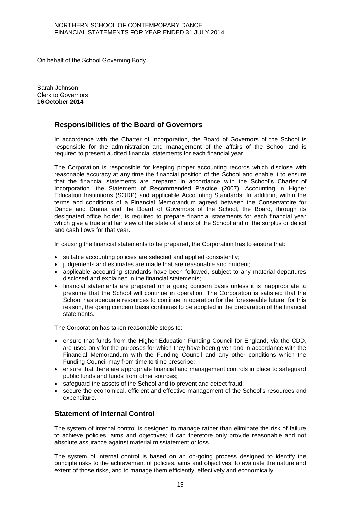On behalf of the School Governing Body

Sarah Johnson Clerk to Governors **16 October 2014**

#### **Responsibilities of the Board of Governors**

In accordance with the Charter of Incorporation, the Board of Governors of the School is responsible for the administration and management of the affairs of the School and is required to present audited financial statements for each financial year.

The Corporation is responsible for keeping proper accounting records which disclose with reasonable accuracy at any time the financial position of the School and enable it to ensure that the financial statements are prepared in accordance with the School's Charter of Incorporation, the Statement of Recommended Practice (2007): Accounting in Higher Education Institutions (SORP) and applicable Accounting Standards. In addition, within the terms and conditions of a Financial Memorandum agreed between the Conservatoire for Dance and Drama and the Board of Governors of the School, the Board, through its designated office holder, is required to prepare financial statements for each financial year which give a true and fair view of the state of affairs of the School and of the surplus or deficit and cash flows for that year.

In causing the financial statements to be prepared, the Corporation has to ensure that:

- suitable accounting policies are selected and applied consistently;
- judgements and estimates are made that are reasonable and prudent;
- applicable accounting standards have been followed, subject to any material departures disclosed and explained in the financial statements;
- financial statements are prepared on a going concern basis unless it is inappropriate to presume that the School will continue in operation. The Corporation is satisfied that the School has adequate resources to continue in operation for the foreseeable future: for this reason, the going concern basis continues to be adopted in the preparation of the financial statements.

The Corporation has taken reasonable steps to:

- ensure that funds from the Higher Education Funding Council for England, via the CDD, are used only for the purposes for which they have been given and in accordance with the Financial Memorandum with the Funding Council and any other conditions which the Funding Council may from time to time prescribe;
- ensure that there are appropriate financial and management controls in place to safeguard public funds and funds from other sources;
- safeguard the assets of the School and to prevent and detect fraud;
- secure the economical, efficient and effective management of the School's resources and expenditure.

### **Statement of Internal Control**

The system of internal control is designed to manage rather than eliminate the risk of failure to achieve policies, aims and objectives; it can therefore only provide reasonable and not absolute assurance against material misstatement or loss.

The system of internal control is based on an on-going process designed to identify the principle risks to the achievement of policies, aims and objectives; to evaluate the nature and extent of those risks, and to manage them efficiently, effectively and economically.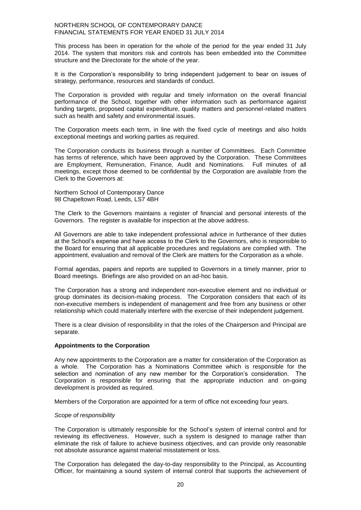This process has been in operation for the whole of the period for the year ended 31 July 2014. The system that monitors risk and controls has been embedded into the Committee structure and the Directorate for the whole of the year.

It is the Corporation's responsibility to bring independent judgement to bear on issues of strategy, performance, resources and standards of conduct.

The Corporation is provided with regular and timely information on the overall financial performance of the School, together with other information such as performance against funding targets, proposed capital expenditure, quality matters and personnel-related matters such as health and safety and environmental issues.

The Corporation meets each term, in line with the fixed cycle of meetings and also holds exceptional meetings and working parties as required.

The Corporation conducts its business through a number of Committees. Each Committee has terms of reference, which have been approved by the Corporation. These Committees are Employment, Remuneration, Finance, Audit and Nominations. Full minutes of all meetings, except those deemed to be confidential by the Corporation are available from the Clerk to the Governors at:

Northern School of Contemporary Dance 98 Chapeltown Road, Leeds, LS7 4BH

The Clerk to the Governors maintains a register of financial and personal interests of the Governors. The register is available for inspection at the above address.

All Governors are able to take independent professional advice in furtherance of their duties at the School's expense and have access to the Clerk to the Governors, who is responsible to the Board for ensuring that all applicable procedures and regulations are complied with. The appointment, evaluation and removal of the Clerk are matters for the Corporation as a whole.

Formal agendas, papers and reports are supplied to Governors in a timely manner, prior to Board meetings. Briefings are also provided on an ad-hoc basis.

The Corporation has a strong and independent non-executive element and no individual or group dominates its decision-making process. The Corporation considers that each of its non-executive members is independent of management and free from any business or other relationship which could materially interfere with the exercise of their independent judgement.

There is a clear division of responsibility in that the roles of the Chairperson and Principal are separate.

#### **Appointments to the Corporation**

Any new appointments to the Corporation are a matter for consideration of the Corporation as a whole. The Corporation has a Nominations Committee which is responsible for the selection and nomination of any new member for the Corporation's consideration. The Corporation is responsible for ensuring that the appropriate induction and on-going development is provided as required.

Members of the Corporation are appointed for a term of office not exceeding four years.

#### *Scope of responsibility*

The Corporation is ultimately responsible for the School's system of internal control and for reviewing its effectiveness. However, such a system is designed to manage rather than eliminate the risk of failure to achieve business objectives, and can provide only reasonable not absolute assurance against material misstatement or loss.

The Corporation has delegated the day-to-day responsibility to the Principal, as Accounting Officer, for maintaining a sound system of internal control that supports the achievement of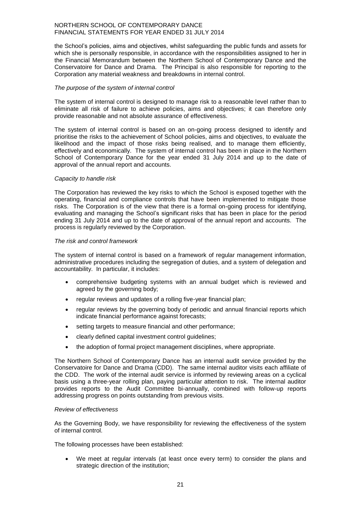the School's policies, aims and objectives, whilst safeguarding the public funds and assets for which she is personally responsible, in accordance with the responsibilities assigned to her in the Financial Memorandum between the Northern School of Contemporary Dance and the Conservatoire for Dance and Drama. The Principal is also responsible for reporting to the Corporation any material weakness and breakdowns in internal control.

#### *The purpose of the system of internal control*

The system of internal control is designed to manage risk to a reasonable level rather than to eliminate all risk of failure to achieve policies, aims and objectives; it can therefore only provide reasonable and not absolute assurance of effectiveness.

The system of internal control is based on an on-going process designed to identify and prioritise the risks to the achievement of School policies, aims and objectives, to evaluate the likelihood and the impact of those risks being realised, and to manage them efficiently, effectively and economically. The system of internal control has been in place in the Northern School of Contemporary Dance for the year ended 31 July 2014 and up to the date of approval of the annual report and accounts.

#### *Capacity to handle risk*

The Corporation has reviewed the key risks to which the School is exposed together with the operating, financial and compliance controls that have been implemented to mitigate those risks. The Corporation is of the view that there is a formal on-going process for identifying, evaluating and managing the School's significant risks that has been in place for the period ending 31 July 2014 and up to the date of approval of the annual report and accounts. The process is regularly reviewed by the Corporation.

#### *The risk and control framework*

The system of internal control is based on a framework of regular management information, administrative procedures including the segregation of duties, and a system of delegation and accountability. In particular, it includes:

- comprehensive budgeting systems with an annual budget which is reviewed and agreed by the governing body;
- regular reviews and updates of a rolling five-year financial plan;
- regular reviews by the governing body of periodic and annual financial reports which indicate financial performance against forecasts;
- setting targets to measure financial and other performance;
- clearly defined capital investment control guidelines;
- the adoption of formal project management disciplines, where appropriate.

The Northern School of Contemporary Dance has an internal audit service provided by the Conservatoire for Dance and Drama (CDD). The same internal auditor visits each affiliate of the CDD. The work of the internal audit service is informed by reviewing areas on a cyclical basis using a three-year rolling plan, paying particular attention to risk. The internal auditor provides reports to the Audit Committee bi-annually, combined with follow-up reports addressing progress on points outstanding from previous visits.

#### *Review of effectiveness*

As the Governing Body, we have responsibility for reviewing the effectiveness of the system of internal control.

The following processes have been established:

 We meet at regular intervals (at least once every term) to consider the plans and strategic direction of the institution;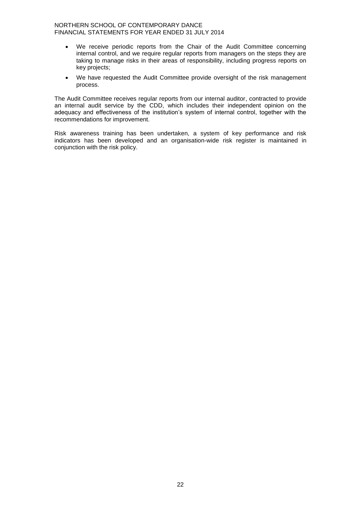- We receive periodic reports from the Chair of the Audit Committee concerning internal control, and we require regular reports from managers on the steps they are taking to manage risks in their areas of responsibility, including progress reports on key projects;
- We have requested the Audit Committee provide oversight of the risk management process.

The Audit Committee receives regular reports from our internal auditor, contracted to provide an internal audit service by the CDD, which includes their independent opinion on the adequacy and effectiveness of the institution's system of internal control, together with the recommendations for improvement.

Risk awareness training has been undertaken, a system of key performance and risk indicators has been developed and an organisation-wide risk register is maintained in conjunction with the risk policy.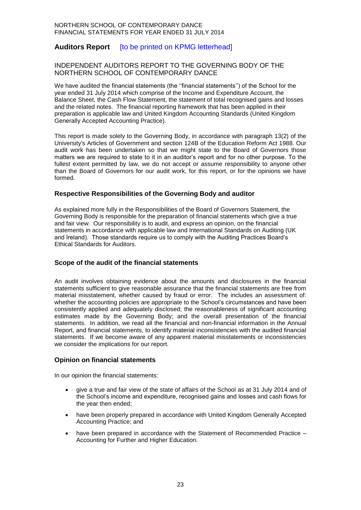## **Auditors Report** [to be printed on KPMG letterhead]

#### INDEPENDENT AUDITORS REPORT TO THE GOVERNING BODY OF THE NORTHERN SCHOOL OF CONTEMPORARY DANCE

We have audited the financial statements (the "financial statements") of the School for the year ended 31 July 2014 which comprise of the Income and Expenditure Account, the Balance Sheet, the Cash Flow Statement, the statement of total recognised gains and losses and the related notes. The financial reporting framework that has been applied in their preparation is applicable law and United Kingdom Accounting Standards (United Kingdom Generally Accepted Accounting Practice).

This report is made solely to the Governing Body, in accordance with paragraph 13(2) of the University's Articles of Government and section 124B of the Education Reform Act 1988. Our audit work has been undertaken so that we might state to the Board of Governors those matters we are required to state to it in an auditor's report and for no other purpose. To the fullest extent permitted by law, we do not accept or assume responsibility to anyone other than the Board of Governors for our audit work, for this report, or for the opinions we have formed.

#### **Respective Responsibilities of the Governing Body and auditor**

As explained more fully in the Responsibilities of the Board of Governors Statement, the Governing Body is responsible for the preparation of financial statements which give a true and fair view. Our responsibility is to audit, and express an opinion, on the financial statements in accordance with applicable law and International Standards on Auditing (UK and Ireland). Those standards require us to comply with the Auditing Practices Board's Ethical Standards for Auditors.

#### **Scope of the audit of the financial statements**

An audit involves obtaining evidence about the amounts and disclosures in the financial statements sufficient to give reasonable assurance that the financial statements are free from material misstatement, whether caused by fraud or error. The includes an assessment of: whether the accounting policies are appropriate to the School's circumstances and have been consistently applied and adequately disclosed; the reasonableness of significant accounting estimates made by the Governing Body; and the overall presentation of the financial statements. In addition, we read all the financial and non-financial information in the Annual Report, and financial statements, to identify material inconsistencies with the audited financial statements. If we become aware of any apparent material misstatements or inconsistencies we consider the implications for our report.

#### **Opinion on financial statements**

In our opinion the financial statements:

- give a true and fair view of the state of affairs of the School as at 31 July 2014 and of the School's income and expenditure, recognised gains and losses and cash flows for the year then ended;
- have been properly prepared in accordance with United Kingdom Generally Accepted Accounting Practice; and
- have been prepared in accordance with the Statement of Recommended Practice Accounting for Further and Higher Education.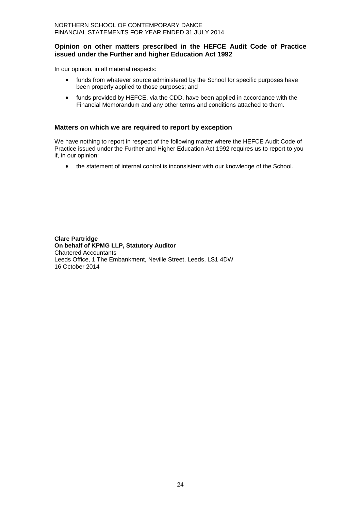#### **Opinion on other matters prescribed in the HEFCE Audit Code of Practice issued under the Further and higher Education Act 1992**

In our opinion, in all material respects:

- funds from whatever source administered by the School for specific purposes have been properly applied to those purposes; and
- funds provided by HEFCE, via the CDD, have been applied in accordance with the Financial Memorandum and any other terms and conditions attached to them.

#### **Matters on which we are required to report by exception**

We have nothing to report in respect of the following matter where the HEFCE Audit Code of Practice issued under the Further and Higher Education Act 1992 requires us to report to you if, in our opinion:

the statement of internal control is inconsistent with our knowledge of the School.

**Clare Partridge On behalf of KPMG LLP, Statutory Auditor** Chartered Accountants Leeds Office, 1 The Embankment, Neville Street, Leeds, LS1 4DW 16 October 2014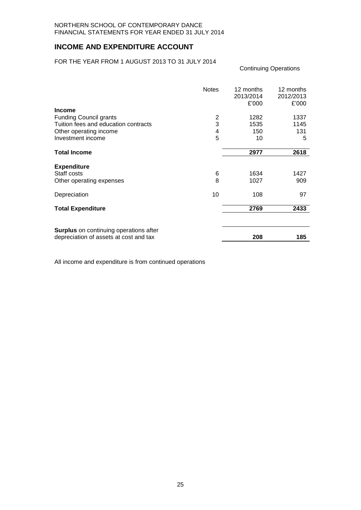## **INCOME AND EXPENDITURE ACCOUNT**

#### FOR THE YEAR FROM 1 AUGUST 2013 TO 31 JULY 2014

|                                                                                  | <b>Notes</b> | 12 months<br>2013/2014<br>£'000 | 12 months<br>2012/2013<br>£'000 |
|----------------------------------------------------------------------------------|--------------|---------------------------------|---------------------------------|
| <b>Income</b>                                                                    |              |                                 |                                 |
| <b>Funding Council grants</b>                                                    | 2            | 1282                            | 1337                            |
| Tuition fees and education contracts                                             | 3            | 1535                            | 1145                            |
| Other operating income                                                           | 4            | 150                             | 131                             |
| Investment income                                                                | 5            | 10                              | 5                               |
| <b>Total Income</b>                                                              |              | 2977                            | 2618                            |
|                                                                                  |              |                                 |                                 |
| <b>Expenditure</b>                                                               |              |                                 |                                 |
| Staff costs                                                                      | 6            | 1634                            | 1427                            |
| Other operating expenses                                                         | 8            | 1027                            | 909                             |
| Depreciation                                                                     | 10           | 108                             | 97                              |
| <b>Total Expenditure</b>                                                         |              | 2769                            | 2433                            |
|                                                                                  |              |                                 |                                 |
| Surplus on continuing operations after<br>depreciation of assets at cost and tax |              | 208                             | 185                             |

Continuing Operations

All income and expenditure is from continued operations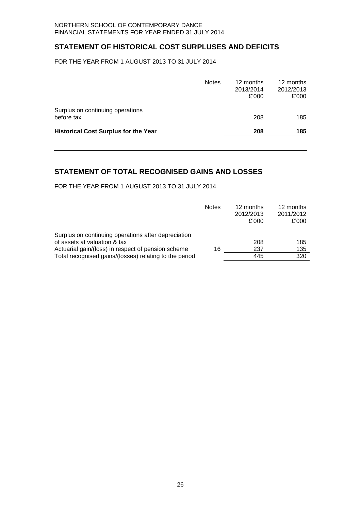## **STATEMENT OF HISTORICAL COST SURPLUSES AND DEFICITS**

FOR THE YEAR FROM 1 AUGUST 2013 TO 31 JULY 2014

|                                                | <b>Notes</b> | 12 months<br>2013/2014<br>£'000 | 12 months<br>2012/2013<br>£'000 |
|------------------------------------------------|--------------|---------------------------------|---------------------------------|
| Surplus on continuing operations<br>before tax |              | 208                             | 185                             |
| <b>Historical Cost Surplus for the Year</b>    |              | 208                             | 185                             |
|                                                |              |                                 |                                 |

## **STATEMENT OF TOTAL RECOGNISED GAINS AND LOSSES**

FOR THE YEAR FROM 1 AUGUST 2013 TO 31 JULY 2014

|                                                        | <b>Notes</b> | 12 months<br>2012/2013<br>£'000 | 12 months<br>2011/2012<br>£'000 |
|--------------------------------------------------------|--------------|---------------------------------|---------------------------------|
| Surplus on continuing operations after depreciation    |              |                                 |                                 |
| of assets at valuation & tax                           |              | 208                             | 185                             |
| Actuarial gain/(loss) in respect of pension scheme     | 16           | 237                             | 135                             |
| Total recognised gains/(losses) relating to the period |              | 445                             | 320                             |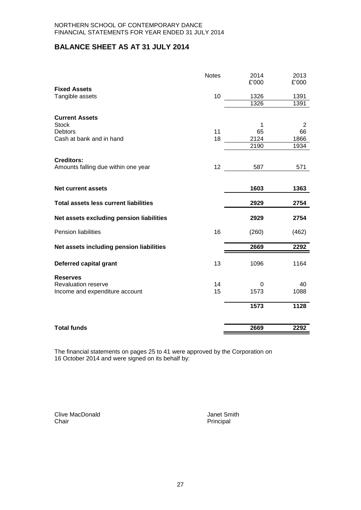## **BALANCE SHEET AS AT 31 JULY 2014**

| <b>Notes</b> | 2014<br>£'000  | 2013<br>£'000              |
|--------------|----------------|----------------------------|
|              |                |                            |
| 10           |                | 1391                       |
|              | 1326           | 1391                       |
|              |                |                            |
|              | 1              | 2                          |
|              |                | 66                         |
|              |                | 1866                       |
|              | 2190           | 1934                       |
|              |                |                            |
| 12           | 587            | 571                        |
|              |                |                            |
|              | 1603           | 1363                       |
|              | 2929           | 2754                       |
|              | 2929           | 2754                       |
| 16           | (260)          | (462)                      |
|              | 2669           | 2292                       |
| 13           | 1096           | 1164                       |
|              |                |                            |
|              | 0              | 40                         |
| 15           | 1573           | 1088                       |
|              | 1573           | 1128                       |
|              |                | 2292                       |
|              | 11<br>18<br>14 | 1326<br>65<br>2124<br>2669 |

The financial statements on pages 25 to 41 were approved by the Corporation on 16 October 2014 and were signed on its behalf by:

Clive MacDonald **Clive MacDonald** Janet Smith<br>
Chair<br>
Principal

Principal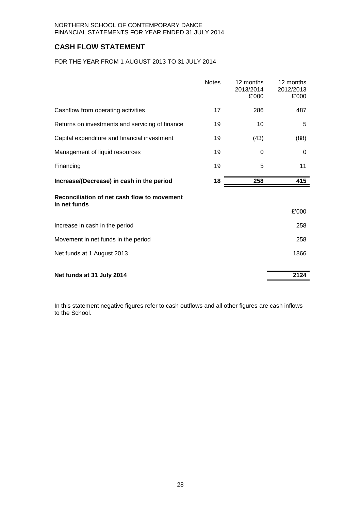## **CASH FLOW STATEMENT**

FOR THE YEAR FROM 1 AUGUST 2013 TO 31 JULY 2014

|                                                             | <b>Notes</b> | 12 months<br>2013/2014<br>£'000 | 12 months<br>2012/2013<br>£'000 |
|-------------------------------------------------------------|--------------|---------------------------------|---------------------------------|
| Cashflow from operating activities                          | 17           | 286                             | 487                             |
| Returns on investments and servicing of finance             | 19           | 10                              | 5                               |
| Capital expenditure and financial investment                | 19           | (43)                            | (88)                            |
| Management of liquid resources                              | 19           | 0                               | 0                               |
| Financing                                                   | 19           | 5                               | 11                              |
| Increase/(Decrease) in cash in the period                   | 18           | 258                             | 415                             |
| Reconciliation of net cash flow to movement<br>in net funds |              |                                 |                                 |
|                                                             |              |                                 | £'000                           |
| Increase in cash in the period                              |              |                                 | 258                             |
| Movement in net funds in the period                         |              |                                 | 258                             |
| Net funds at 1 August 2013                                  |              |                                 | 1866                            |
|                                                             |              |                                 |                                 |
| Net funds at 31 July 2014                                   |              |                                 | 2124                            |

In this statement negative figures refer to cash outflows and all other figures are cash inflows to the School.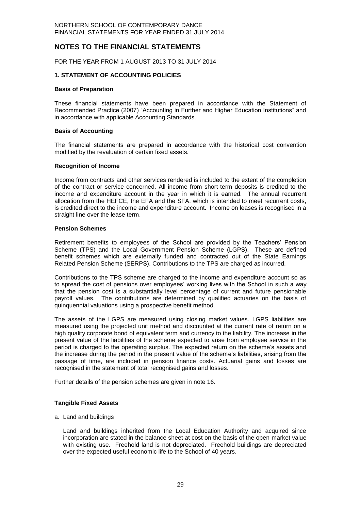## **NOTES TO THE FINANCIAL STATEMENTS**

FOR THE YEAR FROM 1 AUGUST 2013 TO 31 JULY 2014

#### **1. STATEMENT OF ACCOUNTING POLICIES**

#### **Basis of Preparation**

These financial statements have been prepared in accordance with the Statement of Recommended Practice (2007) "Accounting in Further and Higher Education Institutions" and in accordance with applicable Accounting Standards.

#### **Basis of Accounting**

The financial statements are prepared in accordance with the historical cost convention modified by the revaluation of certain fixed assets.

#### **Recognition of Income**

Income from contracts and other services rendered is included to the extent of the completion of the contract or service concerned. All income from short-term deposits is credited to the income and expenditure account in the year in which it is earned. The annual recurrent allocation from the HEFCE, the EFA and the SFA, which is intended to meet recurrent costs, is credited direct to the income and expenditure account. Income on leases is recognised in a straight line over the lease term.

#### **Pension Schemes**

Retirement benefits to employees of the School are provided by the Teachers' Pension Scheme (TPS) and the Local Government Pension Scheme (LGPS). These are defined benefit schemes which are externally funded and contracted out of the State Earnings Related Pension Scheme (SERPS). Contributions to the TPS are charged as incurred.

Contributions to the TPS scheme are charged to the income and expenditure account so as to spread the cost of pensions over employees' working lives with the School in such a way that the pension cost is a substantially level percentage of current and future pensionable payroll values. The contributions are determined by qualified actuaries on the basis of quinquennial valuations using a prospective benefit method.

The assets of the LGPS are measured using closing market values. LGPS liabilities are measured using the projected unit method and discounted at the current rate of return on a high quality corporate bond of equivalent term and currency to the liability. The increase in the present value of the liabilities of the scheme expected to arise from employee service in the period is charged to the operating surplus. The expected return on the scheme's assets and the increase during the period in the present value of the scheme's liabilities, arising from the passage of time, are included in pension finance costs. Actuarial gains and losses are recognised in the statement of total recognised gains and losses.

Further details of the pension schemes are given in note 16.

#### **Tangible Fixed Assets**

a. Land and buildings

Land and buildings inherited from the Local Education Authority and acquired since incorporation are stated in the balance sheet at cost on the basis of the open market value with existing use. Freehold land is not depreciated. Freehold buildings are depreciated over the expected useful economic life to the School of 40 years.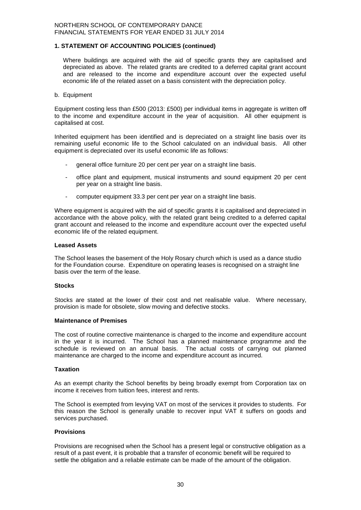#### **1. STATEMENT OF ACCOUNTING POLICIES (continued)**

Where buildings are acquired with the aid of specific grants they are capitalised and depreciated as above. The related grants are credited to a deferred capital grant account and are released to the income and expenditure account over the expected useful economic life of the related asset on a basis consistent with the depreciation policy.

#### b. Equipment

Equipment costing less than £500 (2013: £500) per individual items in aggregate is written off to the income and expenditure account in the year of acquisition. All other equipment is capitalised at cost.

Inherited equipment has been identified and is depreciated on a straight line basis over its remaining useful economic life to the School calculated on an individual basis. All other equipment is depreciated over its useful economic life as follows:

- general office furniture 20 per cent per year on a straight line basis.
- office plant and equipment, musical instruments and sound equipment 20 per cent per year on a straight line basis.
- computer equipment 33.3 per cent per year on a straight line basis.

Where equipment is acquired with the aid of specific grants it is capitalised and depreciated in accordance with the above policy, with the related grant being credited to a deferred capital grant account and released to the income and expenditure account over the expected useful economic life of the related equipment.

#### **Leased Assets**

The School leases the basement of the Holy Rosary church which is used as a dance studio for the Foundation course. Expenditure on operating leases is recognised on a straight line basis over the term of the lease.

#### **Stocks**

Stocks are stated at the lower of their cost and net realisable value. Where necessary, provision is made for obsolete, slow moving and defective stocks.

#### **Maintenance of Premises**

The cost of routine corrective maintenance is charged to the income and expenditure account in the year it is incurred. The School has a planned maintenance programme and the schedule is reviewed on an annual basis. The actual costs of carrying out planned maintenance are charged to the income and expenditure account as incurred.

#### **Taxation**

As an exempt charity the School benefits by being broadly exempt from Corporation tax on income it receives from tuition fees, interest and rents.

The School is exempted from levying VAT on most of the services it provides to students. For this reason the School is generally unable to recover input VAT it suffers on goods and services purchased.

#### **Provisions**

Provisions are recognised when the School has a present legal or constructive obligation as a result of a past event, it is probable that a transfer of economic benefit will be required to settle the obligation and a reliable estimate can be made of the amount of the obligation.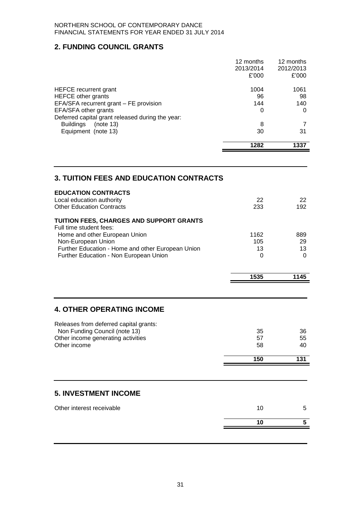## **2. FUNDING COUNCIL GRANTS**

|                                                                                   | 1282                   | 1337                   |
|-----------------------------------------------------------------------------------|------------------------|------------------------|
| Equipment (note 13)                                                               | 30                     | 31                     |
| Deferred capital grant released during the year:<br><b>Buildings</b><br>(note 13) | 8                      |                        |
| EFA/SFA other grants                                                              | 0                      | 0                      |
| EFA/SFA recurrent grant – FE provision                                            | 144                    | 140                    |
| <b>HEFCE</b> other grants                                                         | 96                     | 98                     |
| HEFCE recurrent grant                                                             | 1004                   | 1061                   |
|                                                                                   | £'000                  | £'000                  |
|                                                                                   | 12 months<br>2013/2014 | 12 months<br>2012/2013 |

## **3. TUITION FEES AND EDUCATION CONTRACTS**

|                                                                                                               | 10                | 5               |
|---------------------------------------------------------------------------------------------------------------|-------------------|-----------------|
| Other interest receivable                                                                                     | 10                | 5               |
| <b>5. INVESTMENT INCOME</b>                                                                                   |                   |                 |
|                                                                                                               |                   |                 |
|                                                                                                               | 150               | 131             |
| Other income                                                                                                  | 58                | 40              |
| Releases from deferred capital grants:<br>Non Funding Council (note 13)<br>Other income generating activities | 35<br>57          | 36<br>55        |
| <b>4. OTHER OPERATING INCOME</b>                                                                              |                   |                 |
|                                                                                                               |                   |                 |
|                                                                                                               | 1535              | 1145            |
| Further Education - Non European Union                                                                        | $\Omega$          | 0               |
| Home and other European Union<br>Non-European Union<br>Further Education - Home and other European Union      | 1162<br>105<br>13 | 889<br>29<br>13 |
| TUITION FEES, CHARGES AND SUPPORT GRANTS<br>Full time student fees:                                           |                   |                 |
| <b>EDUCATION CONTRACTS</b><br>Local education authority<br><b>Other Education Contracts</b>                   | 22<br>233         | 22<br>192       |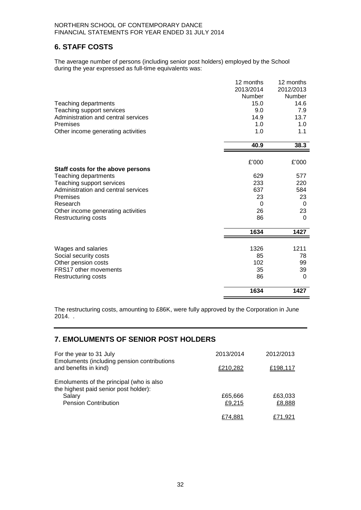## **6. STAFF COSTS**

The average number of persons (including senior post holders) employed by the School during the year expressed as full-time equivalents was:

|                                                   | 12 months  | 12 months  |
|---------------------------------------------------|------------|------------|
|                                                   | 2013/2014  | 2012/2013  |
|                                                   | Number     | Number     |
| Teaching departments                              | 15.0       | 14.6       |
| Teaching support services                         | 9.0        | 7.9        |
| Administration and central services               | 14.9       | 13.7       |
| Premises                                          | 1.0        | 1.0        |
| Other income generating activities                | 1.0        | 1.1        |
|                                                   | 40.9       | 38.3       |
|                                                   |            |            |
|                                                   | £'000      | £'000      |
| Staff costs for the above persons                 |            |            |
| Teaching departments<br>Teaching support services | 629<br>233 | 577<br>220 |
| Administration and central services               | 637        | 584        |
| Premises                                          | 23         | 23         |
| Research                                          | 0          | 0          |
| Other income generating activities                | 26         | 23         |
| <b>Restructuring costs</b>                        | 86         | 0          |
|                                                   | 1634       | 1427       |
|                                                   |            |            |
| Wages and salaries                                | 1326       | 1211       |
| Social security costs                             | 85         | 78         |
| Other pension costs                               | 102        | 99         |
| <b>FRS17 other movements</b>                      | 35         | 39         |
| Restructuring costs                               | 86         | 0          |
|                                                   | 1634       | 1427       |

The restructuring costs, amounting to £86K, were fully approved by the Corporation in June 2014. .

## **7. EMOLUMENTS OF SENIOR POST HOLDERS**

| For the year to 31 July<br>Emoluments (including pension contributions                                                     | 2013/2014         | 2012/2013         |
|----------------------------------------------------------------------------------------------------------------------------|-------------------|-------------------|
| and benefits in kind)                                                                                                      | £210,282          | £198,117          |
| Emoluments of the principal (who is also<br>the highest paid senior post holder):<br>Salary<br><b>Pension Contribution</b> | £65,666<br>£9,215 | £63,033<br>£8,888 |
|                                                                                                                            | £74.881           | £71.921           |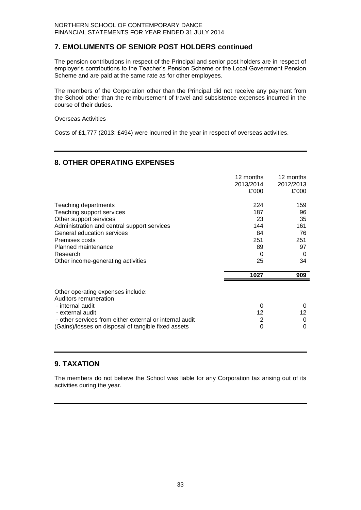## **7. EMOLUMENTS OF SENIOR POST HOLDERS continued**

The pension contributions in respect of the Principal and senior post holders are in respect of employer's contributions to the Teacher's Pension Scheme or the Local Government Pension Scheme and are paid at the same rate as for other employees.

The members of the Corporation other than the Principal did not receive any payment from the School other than the reimbursement of travel and subsistence expenses incurred in the course of their duties.

#### Overseas Activities

Costs of £1,777 (2013: £494) were incurred in the year in respect of overseas activities.

## **8. OTHER OPERATING EXPENSES**

|                                                                                                                                                                                                                                                     | 12 months<br>2013/2014<br>£'000                       | 12 months<br>2012/2013<br>£'000                      |
|-----------------------------------------------------------------------------------------------------------------------------------------------------------------------------------------------------------------------------------------------------|-------------------------------------------------------|------------------------------------------------------|
| Teaching departments<br>Teaching support services<br>Other support services<br>Administration and central support services<br>General education services<br>Premises costs<br>Planned maintenance<br>Research<br>Other income-generating activities | 224<br>187<br>23<br>144<br>84<br>251<br>89<br>0<br>25 | 159<br>96<br>35<br>161<br>76<br>251<br>97<br>0<br>34 |
|                                                                                                                                                                                                                                                     | 1027                                                  | 909                                                  |
| Other operating expenses include:<br>Auditors remuneration<br>- internal audit<br>- external audit<br>- other services from either external or internal audit<br>(Gains)/losses on disposal of tangible fixed assets                                | 0<br>12<br>2<br>0                                     | 0<br>12<br>0<br>0                                    |

## **9. TAXATION**

The members do not believe the School was liable for any Corporation tax arising out of its activities during the year.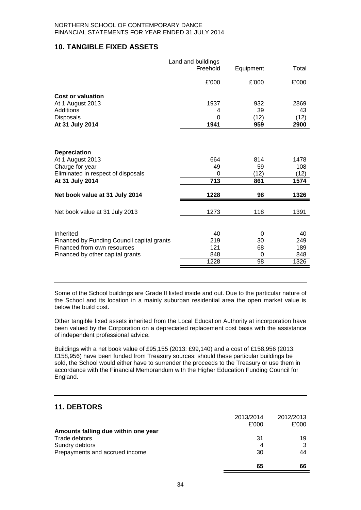## **10. TANGIBLE FIXED ASSETS**

|                                                                                                                                                       | Land and buildings<br>Freehold       | Equipment                      | Total                               |
|-------------------------------------------------------------------------------------------------------------------------------------------------------|--------------------------------------|--------------------------------|-------------------------------------|
|                                                                                                                                                       | £'000                                | £'000                          | £'000                               |
| <b>Cost or valuation</b>                                                                                                                              |                                      |                                |                                     |
| At 1 August 2013                                                                                                                                      | 1937                                 | 932                            | 2869                                |
| Additions                                                                                                                                             | 4                                    | 39                             | 43                                  |
| Disposals                                                                                                                                             | 0                                    | (12)                           | (12)                                |
| At 31 July 2014                                                                                                                                       | 1941                                 | 959                            | 2900                                |
| <b>Depreciation</b><br>At 1 August 2013<br>Charge for year<br>Eliminated in respect of disposals<br>At 31 July 2014<br>Net book value at 31 July 2014 | 664<br>49<br>$\Omega$<br>713<br>1228 | 814<br>59<br>(12)<br>861<br>98 | 1478<br>108<br>(12)<br>1574<br>1326 |
| Net book value at 31 July 2013                                                                                                                        | 1273                                 | 118                            | 1391                                |
|                                                                                                                                                       |                                      |                                |                                     |
| Inherited                                                                                                                                             | 40                                   | 0                              | 40                                  |
| Financed by Funding Council capital grants                                                                                                            | 219                                  | 30                             | 249                                 |
| Financed from own resources                                                                                                                           | 121                                  | 68                             | 189                                 |
| Financed by other capital grants                                                                                                                      | 848                                  | 0                              | 848                                 |
|                                                                                                                                                       | 1228                                 | 98                             | 1326                                |

Some of the School buildings are Grade II listed inside and out. Due to the particular nature of the School and its location in a mainly suburban residential area the open market value is below the build cost.

Other tangible fixed assets inherited from the Local Education Authority at incorporation have been valued by the Corporation on a depreciated replacement cost basis with the assistance of independent professional advice.

Buildings with a net book value of £95,155 (2013: £99,140) and a cost of £158,956 (2013: £158,956) have been funded from Treasury sources: should these particular buildings be sold, the School would either have to surrender the proceeds to the Treasury or use them in accordance with the Financial Memorandum with the Higher Education Funding Council for England.

## **11. DEBTORS**

|                                     | 2013/2014 | 2012/2013 |
|-------------------------------------|-----------|-----------|
|                                     | £'000     | £'000     |
| Amounts falling due within one year |           |           |
| Trade debtors                       | 31        | 19        |
| Sundry debtors                      | 4         | 3         |
| Prepayments and accrued income      | 30        | 44        |
|                                     | 65        | 66        |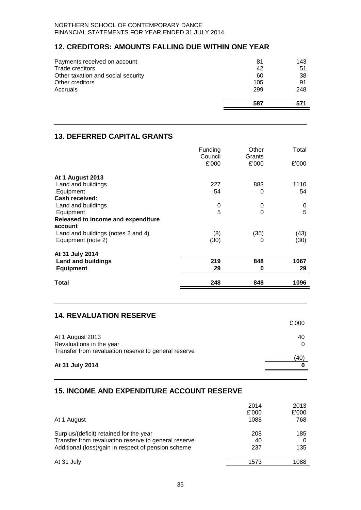## **12. CREDITORS: AMOUNTS FALLING DUE WITHIN ONE YEAR**

| Payments received on account       | 81  | 143 |
|------------------------------------|-----|-----|
| Trade creditors                    | 42  | 51  |
| Other taxation and social security | 60  | 38  |
| Other creditors                    | 105 | 91  |
| Accruals                           | 299 | 248 |
|                                    | 587 |     |

## **13. DEFERRED CAPITAL GRANTS**

|                                    | Funding<br>Council<br>£'000 | Other<br>Grants<br>£'000 | Total<br>£'000 |
|------------------------------------|-----------------------------|--------------------------|----------------|
| <b>At 1 August 2013</b>            |                             |                          |                |
| Land and buildings                 | 227                         | 883                      | 1110           |
| Equipment                          | 54                          | 0                        | 54             |
| Cash received:                     |                             |                          |                |
| Land and buildings                 | 0                           | 0                        | 0              |
| Equipment                          | 5                           | 0                        | 5              |
| Released to income and expenditure |                             |                          |                |
| account                            |                             |                          |                |
| Land and buildings (notes 2 and 4) | (8)                         | (35)                     | (43)           |
| Equipment (note 2)                 | (30)                        | 0                        | (30)           |
| At 31 July 2014                    |                             |                          |                |
| <b>Land and buildings</b>          | 219                         | 848                      | 1067           |
| <b>Equipment</b>                   | 29                          | 0                        | 29             |
| Total                              | 248                         | 848                      | 1096           |

## **14. REVALUATION RESERVE**

|                                                                         | £'000 |
|-------------------------------------------------------------------------|-------|
| At 1 August 2013<br>Revaluations in the year                            | 40    |
| Transfer from revaluation reserve to general reserve<br>At 31 July 2014 | 40)   |

## **15. INCOME AND EXPENDITURE ACCOUNT RESERVE**

|                                                                                                                                                        | 2014             | 2013            |
|--------------------------------------------------------------------------------------------------------------------------------------------------------|------------------|-----------------|
| At 1 August                                                                                                                                            | £'000<br>1088    | £'000<br>768    |
| Surplus/(deficit) retained for the year<br>Transfer from revaluation reserve to general reserve<br>Additional (loss)/gain in respect of pension scheme | 208<br>40<br>237 | 185<br>0<br>135 |
| At 31 July                                                                                                                                             | 1573             | 1088            |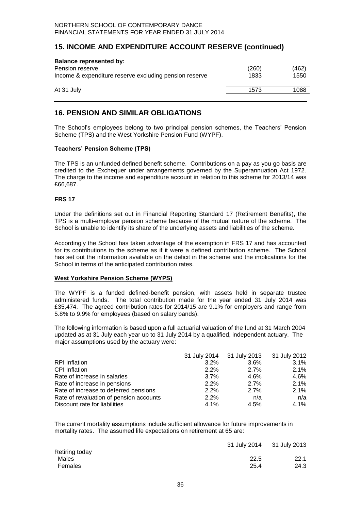## **15. INCOME AND EXPENDITURE ACCOUNT RESERVE (continued)**

| <b>Balance represented by:</b><br>Pension reserve<br>Income & expenditure reserve excluding pension reserve | (260)<br>1833 | (462)<br>1550 |
|-------------------------------------------------------------------------------------------------------------|---------------|---------------|
| At 31 July                                                                                                  | 1573          | 1088          |

## **16. PENSION AND SIMILAR OBLIGATIONS**

The School's employees belong to two principal pension schemes, the Teachers' Pension Scheme (TPS) and the West Yorkshire Pension Fund (WYPF).

#### **Teachers' Pension Scheme (TPS)**

The TPS is an unfunded defined benefit scheme. Contributions on a pay as you go basis are credited to the Exchequer under arrangements governed by the Superannuation Act 1972. The charge to the income and expenditure account in relation to this scheme for 2013/14 was £66,687.

#### **FRS 17**

Under the definitions set out in Financial Reporting Standard 17 (Retirement Benefits), the TPS is a multi-employer pension scheme because of the mutual nature of the scheme. The School is unable to identify its share of the underlying assets and liabilities of the scheme.

Accordingly the School has taken advantage of the exemption in FRS 17 and has accounted for its contributions to the scheme as if it were a defined contribution scheme. The School has set out the information available on the deficit in the scheme and the implications for the School in terms of the anticipated contribution rates.

#### **West Yorkshire Pension Scheme (WYPS)**

The WYPF is a funded defined-benefit pension, with assets held in separate trustee administered funds. The total contribution made for the year ended 31 July 2014 was £35,474.The agreed contribution rates for 2014/15 are 9.1% for employers and range from 5.8% to 9.9% for employees (based on salary bands).

The following information is based upon a full actuarial valuation of the fund at 31 March 2004 updated as at 31 July each year up to 31 July 2014 by a qualified, independent actuary.The major assumptions used by the actuary were:

|                                         |         | 31 July 2014 31 July 2013 31 July 2012 |         |
|-----------------------------------------|---------|----------------------------------------|---------|
| <b>RPI</b> Inflation                    | $3.2\%$ | $3.6\%$                                | $3.1\%$ |
| <b>CPI</b> Inflation                    | 2.2%    | 2.7%                                   | 2.1%    |
| Rate of increase in salaries            | 3.7%    | 4.6%                                   | 4.6%    |
| Rate of increase in pensions            | 2.2%    | 2.7%                                   | 2.1%    |
| Rate of increase to deferred pensions   | 2.2%    | 2.7%                                   | 2.1%    |
| Rate of revaluation of pension accounts | 2.2%    | n/a                                    | n/a     |
| Discount rate for liabilities           | 4.1%    | 4.5%                                   | $4.1\%$ |

The current mortality assumptions include sufficient allowance for future improvements in mortality rates. The assumed life expectations on retirement at 65 are:

| 22.5 | 22.1                      |
|------|---------------------------|
| 25.4 | 24.3                      |
|      | 31 July 2014 31 July 2013 |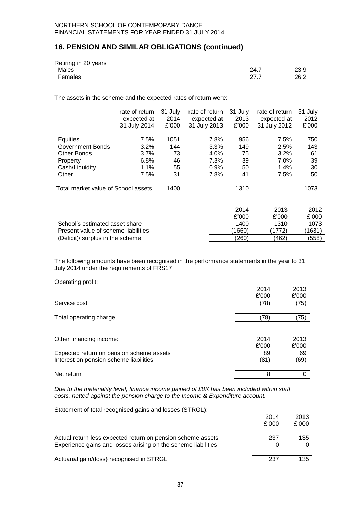## **16. PENSION AND SIMILAR OBLIGATIONS (continued)**

| Retiring in 20 years |      |      |
|----------------------|------|------|
| Males                | 24.7 | 23.9 |
| Females              | 27.7 | 26.2 |

The assets in the scheme and the expected rates of return were:

|                                     | rate of return<br>expected at<br>31 July 2014 | 31 July<br>2014<br>£'000 | rate of return<br>expected at<br>31 July 2013 | 31 July<br>2013<br>£'000 | rate of return<br>expected at<br>31 July 2012 | 31 July<br>2012<br>£'000 |
|-------------------------------------|-----------------------------------------------|--------------------------|-----------------------------------------------|--------------------------|-----------------------------------------------|--------------------------|
| Equities                            | 7.5%                                          | 1051                     | 7.8%                                          | 956                      | 7.5%                                          | 750                      |
| Government Bonds                    | 3.2%                                          | 144                      | 3.3%                                          | 149                      | 2.5%                                          | 143                      |
| Other Bonds                         | $3.7\%$                                       | 73                       | 4.0%                                          | 75                       | 3.2%                                          | 61                       |
| Property                            | 6.8%                                          | 46                       | 7.3%                                          | 39                       | 7.0%                                          | 39                       |
| Cash/Liquidity                      | 1.1%                                          | 55                       | $0.9\%$                                       | 50                       | 1.4%                                          | 30                       |
| Other                               | 7.5%                                          | 31                       | 7.8%                                          | 41                       | 7.5%                                          | 50                       |
| Total market value of School assets |                                               | 1400                     |                                               | 1310                     |                                               | 1073                     |
|                                     |                                               |                          |                                               | 2014                     | 2013                                          | 2012                     |
|                                     |                                               |                          |                                               | £'000                    | £'000                                         | £'000                    |
| School's estimated asset share      |                                               |                          |                                               | 1400                     | 1310                                          | 1073                     |
| Present value of scheme liabilities |                                               |                          |                                               | (1660)                   | (1772)                                        | (1631)                   |
| (Deficit)/ surplus in the scheme    |                                               |                          |                                               | (260)                    | 462)                                          | (558)                    |

The following amounts have been recognised in the performance statements in the year to 31 July 2014 under the requirements of FRS17:

| Operating profit: |  |
|-------------------|--|
|                   |  |

|                                          | 2014  | 2013  |
|------------------------------------------|-------|-------|
|                                          | £'000 | £'000 |
| Service cost                             | (78)  | (75)  |
| Total operating charge                   | (78)  | (75)  |
|                                          |       |       |
| Other financing income:                  | 2014  | 2013  |
|                                          | £'000 | £'000 |
| Expected return on pension scheme assets | 89    | 69    |
| Interest on pension scheme liabilities   | (81)  | (69)  |
| Net return                               | 8     | Ω     |

*Due to the materiality level, finance income gained of £8K has been included within staff costs, netted against the pension charge to the Income & Expenditure account.*

Statement of total recognised gains and losses (STRGL):

|                                                                                                                              | 2014<br>£'000 | 2013<br>£'000 |
|------------------------------------------------------------------------------------------------------------------------------|---------------|---------------|
| Actual return less expected return on pension scheme assets<br>Experience gains and losses arising on the scheme liabilities | 237           | 135.<br>0     |
| Actuarial gain/(loss) recognised in STRGL                                                                                    | 237           | 135.          |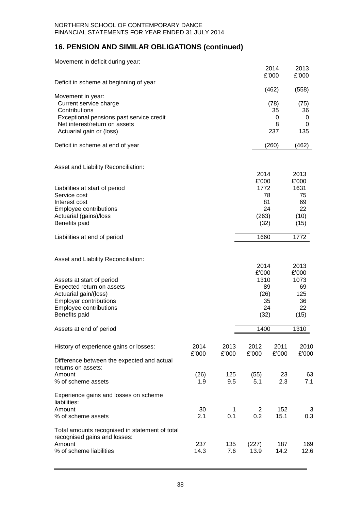## **16. PENSION AND SIMILAR OBLIGATIONS (continued)**

| Movement in deficit during year:                                          |               |               |                |               |               |
|---------------------------------------------------------------------------|---------------|---------------|----------------|---------------|---------------|
|                                                                           |               |               |                | 2014<br>£'000 | 2013<br>£'000 |
| Deficit in scheme at beginning of year                                    |               |               |                |               |               |
| Movement in year:                                                         |               |               |                | (462)         | (558)         |
| Current service charge                                                    |               |               |                | (78)          | (75)          |
| Contributions                                                             |               |               |                | 35            | 36            |
| Exceptional pensions past service credit<br>Net interest/return on assets |               |               |                | 0<br>8        | 0<br>0        |
| Actuarial gain or (loss)                                                  |               |               |                | 237           | 135           |
| Deficit in scheme at end of year                                          |               |               |                | (260)         | (462)         |
| Asset and Liability Reconciliation:                                       |               |               |                |               |               |
|                                                                           |               |               | 2014           |               | 2013          |
| Liabilities at start of period                                            |               |               | £'000<br>1772  |               | £'000<br>1631 |
| Service cost                                                              |               |               |                | 78            | 75            |
| Interest cost                                                             |               |               | 81             |               | 69            |
| Employee contributions<br>Actuarial (gains)/loss                          |               |               | (263)          | 24            | 22<br>(10)    |
| Benefits paid                                                             |               |               | (32)           |               | (15)          |
| Liabilities at end of period                                              |               |               | 1660           |               | 1772          |
| Asset and Liability Reconciliation:                                       |               |               |                |               |               |
|                                                                           |               |               | 2014<br>£'000  |               | 2013<br>£'000 |
| Assets at start of period                                                 |               |               | 1310           |               | 1073          |
| Expected return on assets                                                 |               |               |                | 89            | 69            |
| Actuarial gain/(loss)<br><b>Employer contributions</b>                    |               |               | (26)           | 35            | 125<br>36     |
| Employee contributions                                                    |               |               |                | 24            | 22            |
| Benefits paid                                                             |               |               | (32)           |               | (15)          |
| Assets at end of period                                                   |               |               | 1400           |               | 1310          |
| History of experience gains or losses:                                    | 2014<br>£'000 | 2013<br>£'000 | 2012<br>£'000  | 2011<br>£'000 | 2010<br>£'000 |
| Difference between the expected and actual                                |               |               |                |               |               |
| returns on assets:<br>Amount                                              | (26)          | 125           | (55)           | 23            | 63            |
| % of scheme assets                                                        | 1.9           | 9.5           | 5.1            | 2.3           | 7.1           |
| Experience gains and losses on scheme<br>liabilities:                     |               |               |                |               |               |
| Amount                                                                    | 30            | $\mathbf 1$   | $\overline{2}$ | 152           | 3             |
| % of scheme assets                                                        | 2.1           | 0.1           | 0.2            | 15.1          | 0.3           |
| Total amounts recognised in statement of total                            |               |               |                |               |               |
| recognised gains and losses:<br>Amount                                    | 237           | 135           | (227)          | 187           | 169           |
| % of scheme liabilities                                                   | 14.3          | 7.6           | 13.9           | 14.2          | 12.6          |
|                                                                           |               |               |                |               |               |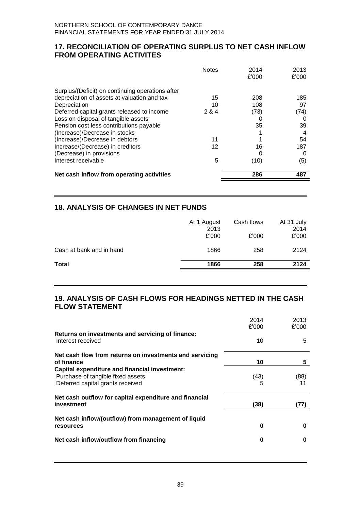## **17. RECONCILIATION OF OPERATING SURPLUS TO NET CASH INFLOW FROM OPERATING ACTIVITES**

|                                                  | <b>Notes</b> | 2014<br>£'000 | 2013<br>£'000 |
|--------------------------------------------------|--------------|---------------|---------------|
| Surplus/(Deficit) on continuing operations after |              |               |               |
| depreciation of assets at valuation and tax      | 15           | 208           | 185           |
| Depreciation                                     | 10           | 108           | 97            |
| Deferred capital grants released to income       | 2 & 4        | (73)          | (74)          |
| Loss on disposal of tangible assets              |              |               |               |
| Pension cost less contributions payable          |              | 35            | 39            |
| (Increase)/Decrease in stocks                    |              |               |               |
| (Increase)/Decrease in debtors                   | 11           |               | 54            |
| Increase/(Decrease) in creditors                 | 12           | 16            | 187           |
| (Decrease) in provisions                         |              | O             | 0             |
| Interest receivable                              | 5            | (10)          | (5)           |
| Net cash inflow from operating activities        |              | 286           | 487           |

## **18. ANALYSIS OF CHANGES IN NET FUNDS**

|                          | At 1 August<br>2013<br>£'000 | Cash flows<br>£'000 | At 31 July<br>2014<br>£'000 |
|--------------------------|------------------------------|---------------------|-----------------------------|
| Cash at bank and in hand | 1866                         | 258                 | 2124                        |
| <b>Total</b>             | 1866                         | 258                 | 2124                        |

## **19. ANALYSIS OF CASH FLOWS FOR HEADINGS NETTED IN THE CASH FLOW STATEMENT**

|                                                                                                                               | 2014<br>£'000 | 2013<br>£'000 |
|-------------------------------------------------------------------------------------------------------------------------------|---------------|---------------|
| Returns on investments and servicing of finance:<br>Interest received                                                         | 10            | 5             |
| Net cash flow from returns on investments and servicing<br>of finance                                                         | 10            | 5             |
| <b>Capital expenditure and financial investment:</b><br>Purchase of tangible fixed assets<br>Deferred capital grants received | (43)          | (88)<br>11    |
| Net cash outflow for capital expenditure and financial<br>investment                                                          | (38)          | (77)          |
| Net cash inflow/(outflow) from management of liquid<br>resources                                                              | 0             | O             |
| Net cash inflow/outflow from financing                                                                                        | 0             | O             |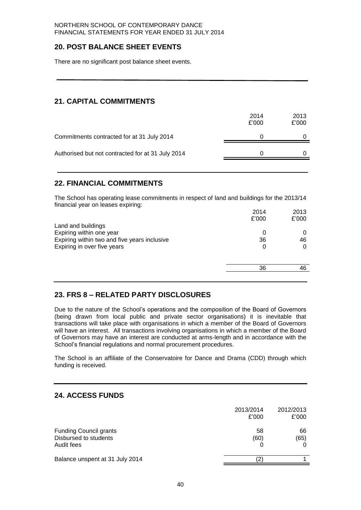## **20. POST BALANCE SHEET EVENTS**

There are no significant post balance sheet events.

## **21. CAPITAL COMMITMENTS**

|                                                   | 2014<br>£'000 | 2013<br>£'000 |
|---------------------------------------------------|---------------|---------------|
| Commitments contracted for at 31 July 2014        |               |               |
| Authorised but not contracted for at 31 July 2014 |               |               |
|                                                   |               |               |

## **22. FINANCIAL COMMITMENTS**

The School has operating lease commitments in respect of land and buildings for the 2013/14 financial year on leases expiring:

|                                              | 2014  | 2013  |
|----------------------------------------------|-------|-------|
|                                              | £'000 | £'000 |
| Land and buildings                           |       |       |
| Expiring within one year                     | 0     | 0     |
| Expiring within two and five years inclusive | 36    | 46    |
| Expiring in over five years                  | 0     | 0     |
|                                              |       |       |
|                                              | 36    | 46    |
|                                              |       |       |

## **23. FRS 8 – RELATED PARTY DISCLOSURES**

Due to the nature of the School's operations and the composition of the Board of Governors (being drawn from local public and private sector organisations) it is inevitable that transactions will take place with organisations in which a member of the Board of Governors will have an interest. All transactions involving organisations in which a member of the Board of Governors may have an interest are conducted at arms-length and in accordance with the School's financial regulations and normal procurement procedures.

The School is an affiliate of the Conservatoire for Dance and Drama (CDD) through which funding is received.

## **24. ACCESS FUNDS**

|                                                                      | 2013/2014<br>£'000 | 2012/2013<br>£'000 |
|----------------------------------------------------------------------|--------------------|--------------------|
| <b>Funding Council grants</b><br>Disbursed to students<br>Audit fees | 58<br>(60)         | 66<br>(65)         |
| Balance unspent at 31 July 2014                                      |                    |                    |